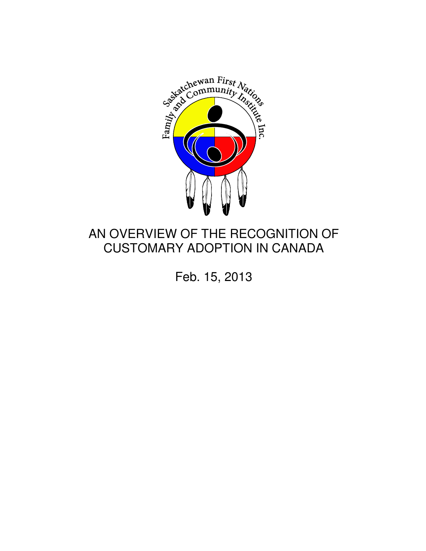

Feb. 15, 2013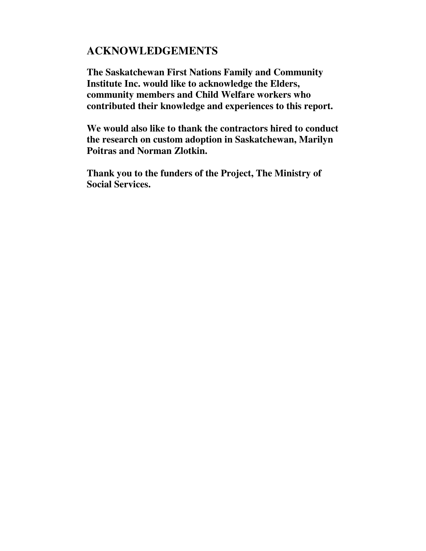# **ACKNOWLEDGEMENTS**

**The Saskatchewan First Nations Family and Community Institute Inc. would like to acknowledge the Elders, community members and Child Welfare workers who contributed their knowledge and experiences to this report.** 

**We would also like to thank the contractors hired to conduct the research on custom adoption in Saskatchewan, Marilyn Poitras and Norman Zlotkin.** 

**Thank you to the funders of the Project, The Ministry of Social Services.**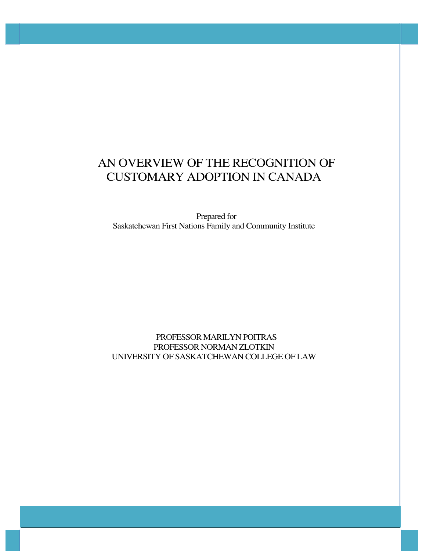Prepared for Saskatchewan First Nations Family and Community Institute

# PROFESSOR MARILYN POITRAS PROFESSOR NORMAN ZLOTKIN UNIVERSITY OF SASKATCHEWAN COLLEGE OF LAW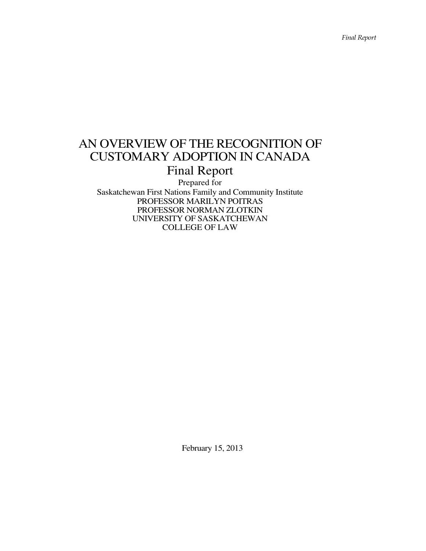Final Report

Prepared for Saskatchewan First Nations Family and Community Institute PROFESSOR MARILYN POITRAS PROFESSOR NORMAN ZLOTKIN UNIVERSITY OF SASKATCHEWAN COLLEGE OF LAW

February 15, 2013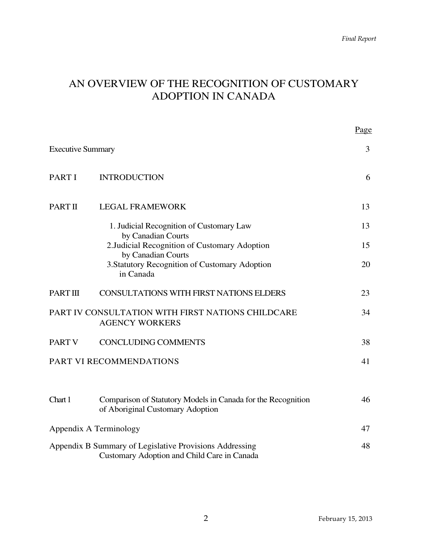|                          |                                                                                                        | Page |
|--------------------------|--------------------------------------------------------------------------------------------------------|------|
| <b>Executive Summary</b> |                                                                                                        | 3    |
| PART I                   | <b>INTRODUCTION</b>                                                                                    | 6    |
| <b>PART II</b>           | <b>LEGAL FRAMEWORK</b>                                                                                 | 13   |
|                          | 1. Judicial Recognition of Customary Law                                                               | 13   |
|                          | by Canadian Courts<br>2. Judicial Recognition of Customary Adoption                                    | 15   |
|                          | by Canadian Courts<br>3. Statutory Recognition of Customary Adoption<br>in Canada                      | 20   |
| PART III                 | <b>CONSULTATIONS WITH FIRST NATIONS ELDERS</b>                                                         | 23   |
|                          | PART IV CONSULTATION WITH FIRST NATIONS CHILDCARE<br><b>AGENCY WORKERS</b>                             | 34   |
| PART V                   | <b>CONCLUDING COMMENTS</b>                                                                             | 38   |
| PART VI RECOMMENDATIONS  |                                                                                                        | 41   |
| Chart 1                  | Comparison of Statutory Models in Canada for the Recognition<br>of Aboriginal Customary Adoption       | 46   |
| Appendix A Terminology   |                                                                                                        | 47   |
|                          | Appendix B Summary of Legislative Provisions Addressing<br>Customary Adoption and Child Care in Canada | 48   |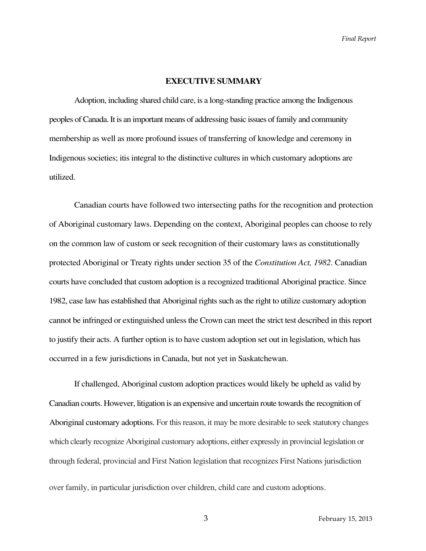#### **EXECUTIVE SUMMARY**

Adoption, including shared child care, is a long-standing practice among the Indigenous peoples of Canada. It is an important means of addressing basic issues of family and community membership as well as more profound issues of transferring of knowledge and ceremony in Indigenous societies; itis integral to the distinctive cultures in which customary adoptions are utilized.

Canadian courts have followed two intersecting paths for the recognition and protection of Aboriginal customary laws. Depending on the context, Aboriginal peoples can choose to rely on the common law of custom or seek recognition of their customary laws as constitutionally protected Aboriginal or Treaty rights under section 35 of the *Constitution Act, 1982*. Canadian courts have concluded that custom adoption is a recognized traditional Aboriginal practice. Since 1982, case law has established that Aboriginal rights such as the right to utilize customary adoption cannot be infringed or extinguished unless the Crown can meet the strict test described in this report to justify their acts. A further option is to have custom adoption set out in legislation, which has occurred in a few jurisdictions in Canada, but not yet in Saskatchewan.

If challenged, Aboriginal custom adoption practices would likely be upheld as valid by Canadian courts. However, litigation is an expensive and uncertain route towards the recognition of Aboriginal customary adoptions. For this reason, it may be more desirable to seek statutory changes which clearly recognize Aboriginal customary adoptions, either expressly in provincial legislation or through federal, provincial and First Nation legislation that recognizes First Nations jurisdiction over family, in particular jurisdiction over children, child care and custom adoptions.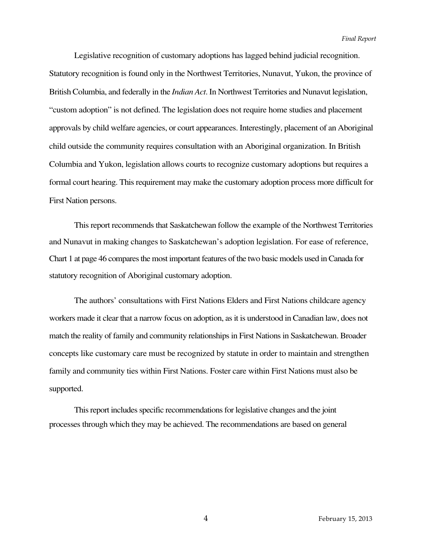Legislative recognition of customary adoptions has lagged behind judicial recognition. Statutory recognition is found only in the Northwest Territories, Nunavut, Yukon, the province of British Columbia, and federally in the *Indian Act*. In Northwest Territories and Nunavut legislation, "custom adoption" is not defined. The legislation does not require home studies and placement approvals by child welfare agencies, or court appearances. Interestingly, placement of an Aboriginal child outside the community requires consultation with an Aboriginal organization. In British Columbia and Yukon, legislation allows courts to recognize customary adoptions but requires a formal court hearing. This requirement may make the customary adoption process more difficult for First Nation persons.

This report recommends that Saskatchewan follow the example of the Northwest Territories and Nunavut in making changes to Saskatchewan's adoption legislation. For ease of reference, Chart 1 at page 46 compares the most important features of the two basic models used in Canada for statutory recognition of Aboriginal customary adoption.

The authors' consultations with First Nations Elders and First Nations childcare agency workers made it clear that a narrow focus on adoption, as it is understood in Canadian law, does not match the reality of family and community relationships in First Nations in Saskatchewan. Broader concepts like customary care must be recognized by statute in order to maintain and strengthen family and community ties within First Nations. Foster care within First Nations must also be supported.

This report includes specific recommendations for legislative changes and the joint processes through which they may be achieved. The recommendations are based on general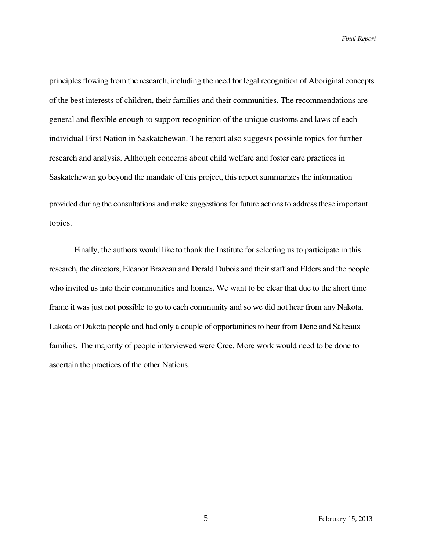principles flowing from the research, including the need for legal recognition of Aboriginal concepts of the best interests of children, their families and their communities. The recommendations are general and flexible enough to support recognition of the unique customs and laws of each individual First Nation in Saskatchewan. The report also suggests possible topics for further research and analysis. Although concerns about child welfare and foster care practices in Saskatchewan go beyond the mandate of this project, this report summarizes the information provided during the consultations and make suggestions for future actions to address these important topics.

Finally, the authors would like to thank the Institute for selecting us to participate in this research, the directors, Eleanor Brazeau and Derald Dubois and their staff and Elders and the people who invited us into their communities and homes. We want to be clear that due to the short time frame it was just not possible to go to each community and so we did not hear from any Nakota, Lakota or Dakota people and had only a couple of opportunities to hear from Dene and Salteaux families. The majority of people interviewed were Cree. More work would need to be done to ascertain the practices of the other Nations.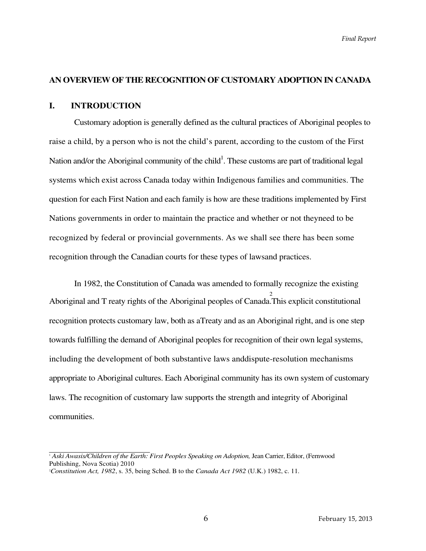#### **I. INTRODUCTION**

Customary adoption is generally defined as the cultural practices of Aboriginal peoples to raise a child, by a person who is not the child's parent, according to the custom of the First Nation and/or the Aboriginal community of the child<sup>1</sup>. These customs are part of traditional legal systems which exist across Canada today within Indigenous families and communities. The question for each First Nation and each family is how are these traditions implemented by First Nations governments in order to maintain the practice and whether or not theyneed to be recognized by federal or provincial governments. As we shall see there has been some recognition through the Canadian courts for these types of lawsand practices.

In 1982, the Constitution of Canada was amended to formally recognize the existing 2 Aboriginal and T reaty rights of the Aboriginal peoples of Canada.This explicit constitutional recognition protects customary law, both as aTreaty and as an Aboriginal right, and is one step towards fulfilling the demand of Aboriginal peoples for recognition of their own legal systems, including the development of both substantive laws anddispute-resolution mechanisms appropriate to Aboriginal cultures. Each Aboriginal community has its own system of customary laws. The recognition of customary law supports the strength and integrity of Aboriginal communities.

<sup>&</sup>lt;sup>1</sup> Aski Awasis/Children of the Earth: First Peoples Speaking on Adoption, Jean Carrier, Editor, (Fernwood Publishing, Nova Scotia) 2010 2*Constitution Act, 1982*, s. 35, being Sched. B to the *Canada Act 1982* (U.K.) 1982, c. 11.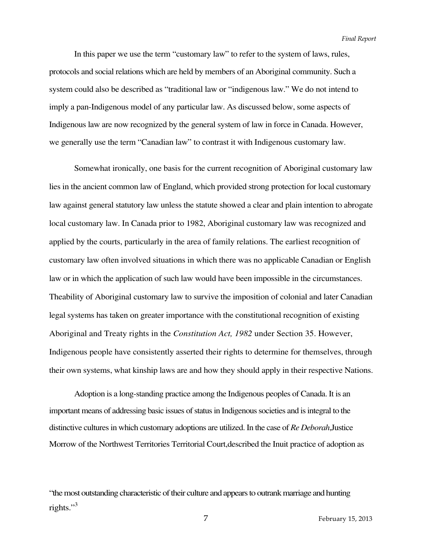In this paper we use the term "customary law" to refer to the system of laws, rules, protocols and social relations which are held by members of an Aboriginal community. Such a system could also be described as "traditional law or "indigenous law." We do not intend to imply a pan-Indigenous model of any particular law. As discussed below, some aspects of Indigenous law are now recognized by the general system of law in force in Canada. However, we generally use the term "Canadian law" to contrast it with Indigenous customary law.

Somewhat ironically, one basis for the current recognition of Aboriginal customary law lies in the ancient common law of England, which provided strong protection for local customary law against general statutory law unless the statute showed a clear and plain intention to abrogate local customary law. In Canada prior to 1982, Aboriginal customary law was recognized and applied by the courts, particularly in the area of family relations. The earliest recognition of customary law often involved situations in which there was no applicable Canadian or English law or in which the application of such law would have been impossible in the circumstances. Theability of Aboriginal customary law to survive the imposition of colonial and later Canadian legal systems has taken on greater importance with the constitutional recognition of existing Aboriginal and Treaty rights in the *Constitution Act, 1982* under Section 35. However, Indigenous people have consistently asserted their rights to determine for themselves, through their own systems, what kinship laws are and how they should apply in their respective Nations.

Adoption is a long-standing practice among the Indigenous peoples of Canada. It is an important means of addressing basic issues of status in Indigenous societies and is integral to the distinctive cultures in which customary adoptions are utilized. In the case of *Re Deborah*,Justice Morrow of the Northwest Territories Territorial Court,described the Inuit practice of adoption as

<sup>&</sup>quot;the most outstanding characteristic of their culture and appears to outrank marriage and hunting rights."<sup>3</sup>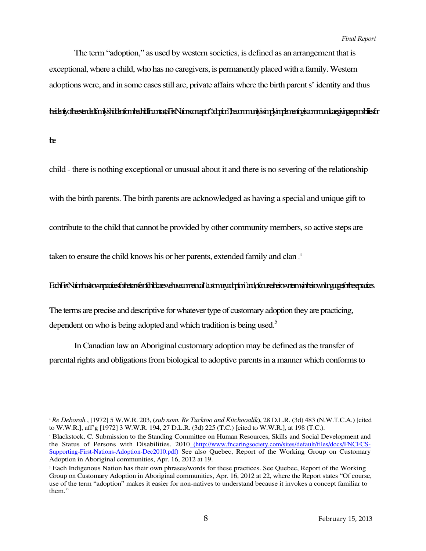The term "adoption," as used by western societies, is defined as an arrangement that is exceptional, where a child, who has no caregivers, is permanently placed with a family. Western adoptions were, and in some cases still are, private affairs where the birth parent s' identity and thus

#### the identity of the extended family is hidden from the children family is the children from the community in the community is signified for the community is simplement in the community in the community in the community is

#### the

child - there is nothing exceptional or unusual about it and there is no severing of the relationship

with the birth parents. The birth parents are acknowledged as having a special and unique gift to

contribute to the child that cannot be provided by other community members, so active steps are

taken to ensure the child knows his or her parents, extended family and clan.<sup>4</sup>

#### Each First Nation has its own practices for the transfer of child care we have come to cal "customary adoption" and, of course , their own terms, in their own language, for these practices.

The terms are precise and descriptive for whatever type of customary adoption they are practicing, dependent on who is being adopted and which tradition is being used.<sup>5</sup>

In Canadian law an Aboriginal customary adoption may be defined as the transfer of parental rights and obligations from biological to adoptive parents in a manner which conforms to

<sup>3</sup>  *Re Deborah* , [1972] 5 W.W.R. 203, (*sub nom. Re Tucktoo and Kitchooalik*), 28 D.L.R. (3d) 483 (N.W.T.C.A.) [cited to W.W.R.], aff'g [1972] 3 W.W.R. 194, 27 D.L.R. (3d) 225 (T.C.) [cited to W.W.R.], at 198 (T.C.).

<sup>4</sup> Blackstock, C. Submission to the Standing Committee on Human Resources, Skills and Social Development and the Status of Persons with Disabilities. 2010 (http://www.fncaringsociety.com/sites/default/files/docs/FNCFCS-Supporting-First-Nations-Adoption-Dec2010.pdf) See also Quebec, Report of the Working Group on Customary Adoption in Aboriginal communities, Apr. 16, 2012 at 19.

<sup>5</sup> Each Indigenous Nation has their own phrases/words for these practices. See Quebec, Report of the Working Group on Customary Adoption in Aboriginal communities, Apr. 16, 2012 at 22, where the Report states "Of course, use of the term "adoption" makes it easier for non-natives to understand because it invokes a concept familiar to them."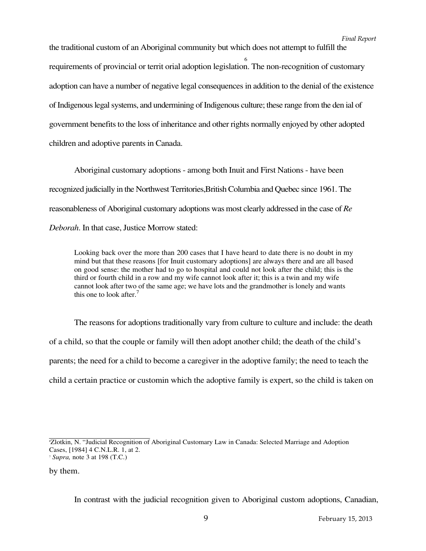the traditional custom of an Aboriginal community but which does not attempt to fulfill the 6 requirements of provincial or territ orial adoption legislation. The non-recognition of customary adoption can have a number of negative legal consequences in addition to the denial of the existence of Indigenous legal systems, and undermining of Indigenous culture; these range from the den ial of government benefits to the loss of inheritance and other rights normally enjoyed by other adopted children and adoptive parents in Canada.

Aboriginal customary adoptions - among both Inuit and First Nations - have been recognized judicially in the Northwest Territories,British Columbia and Quebec since 1961. The reasonableness of Aboriginal customary adoptions was most clearly addressed in the case of *Re Deborah*. In that case, Justice Morrow stated:

Looking back over the more than 200 cases that I have heard to date there is no doubt in my mind but that these reasons [for Inuit customary adoptions] are always there and are all based on good sense: the mother had to go to hospital and could not look after the child; this is the third or fourth child in a row and my wife cannot look after it; this is a twin and my wife cannot look after two of the same age; we have lots and the grandmother is lonely and wants this one to look after  $<sup>7</sup>$ </sup>

The reasons for adoptions traditionally vary from culture to culture and include: the death of a child, so that the couple or family will then adopt another child; the death of the child's parents; the need for a child to become a caregiver in the adoptive family; the need to teach the child a certain practice or customin which the adoptive family is expert, so the child is taken on

In contrast with the judicial recognition given to Aboriginal custom adoptions, Canadian,

<sup>6</sup>Zlotkin, N. "Judicial Recognition of Aboriginal Customary Law in Canada: Selected Marriage and Adoption Cases, [1984] 4 C.N.L.R. 1, at 2. 7  *Supra,* note 3 at 198 (T.C.)

by them.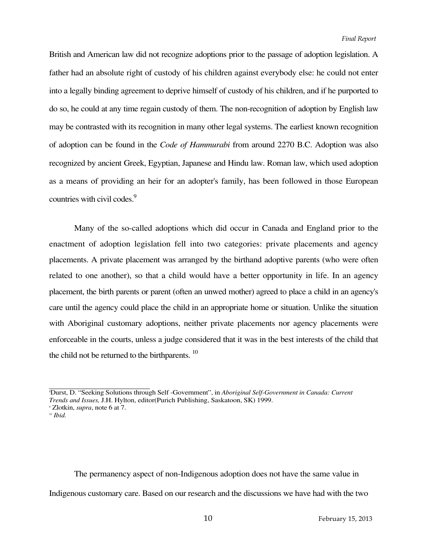British and American law did not recognize adoptions prior to the passage of adoption legislation. A father had an absolute right of custody of his children against everybody else: he could not enter into a legally binding agreement to deprive himself of custody of his children, and if he purported to do so, he could at any time regain custody of them. The non-recognition of adoption by English law may be contrasted with its recognition in many other legal systems. The earliest known recognition of adoption can be found in the *Code of Hammurabi* from around 2270 B.C. Adoption was also recognized by ancient Greek, Egyptian, Japanese and Hindu law. Roman law, which used adoption as a means of providing an heir for an adopter's family, has been followed in those European countries with civil codes.<sup>9</sup>

Many of the so-called adoptions which did occur in Canada and England prior to the enactment of adoption legislation fell into two categories: private placements and agency placements. A private placement was arranged by the birthand adoptive parents (who were often related to one another), so that a child would have a better opportunity in life. In an agency placement, the birth parents or parent (often an unwed mother) agreed to place a child in an agency's care until the agency could place the child in an appropriate home or situation. Unlike the situation with Aboriginal customary adoptions, neither private placements nor agency placements were enforceable in the courts, unless a judge considered that it was in the best interests of the child that the child not be returned to the birthparents.<sup>10</sup>

The permanency aspect of non-Indigenous adoption does not have the same value in Indigenous customary care. Based on our research and the discussions we have had with the two

<sup>8</sup>Durst, D. "Seeking Solutions through Self -Government", in *Aboriginal Self-Government in Canada: Current Trends and Issues,* J.H. Hylton, editor(Purich Publishing, Saskatoon, SK) 1999.

<sup>9</sup> Zlotkin, *supra*, note 6 at 7.

<sup>10</sup> *Ibid.*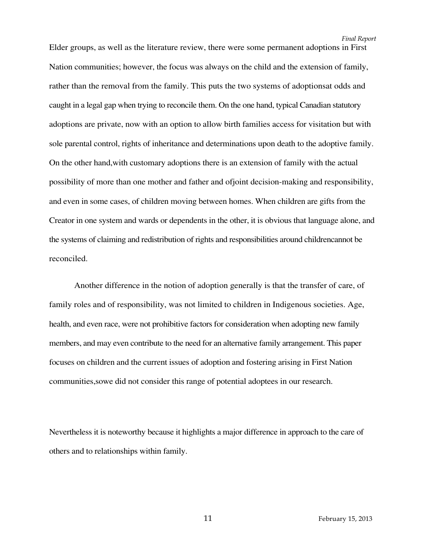Elder groups, as well as the literature review, there were some permanent adoptions in First Nation communities; however, the focus was always on the child and the extension of family, rather than the removal from the family. This puts the two systems of adoptionsat odds and caught in a legal gap when trying to reconcile them. On the one hand, typical Canadian statutory adoptions are private, now with an option to allow birth families access for visitation but with sole parental control, rights of inheritance and determinations upon death to the adoptive family. On the other hand,with customary adoptions there is an extension of family with the actual possibility of more than one mother and father and ofjoint decision-making and responsibility, and even in some cases, of children moving between homes. When children are gifts from the Creator in one system and wards or dependents in the other, it is obvious that language alone, and the systems of claiming and redistribution of rights and responsibilities around childrencannot be reconciled.

Another difference in the notion of adoption generally is that the transfer of care, of family roles and of responsibility, was not limited to children in Indigenous societies. Age, health, and even race, were not prohibitive factors for consideration when adopting new family members, and may even contribute to the need for an alternative family arrangement. This paper focuses on children and the current issues of adoption and fostering arising in First Nation communities,sowe did not consider this range of potential adoptees in our research.

Nevertheless it is noteworthy because it highlights a major difference in approach to the care of others and to relationships within family.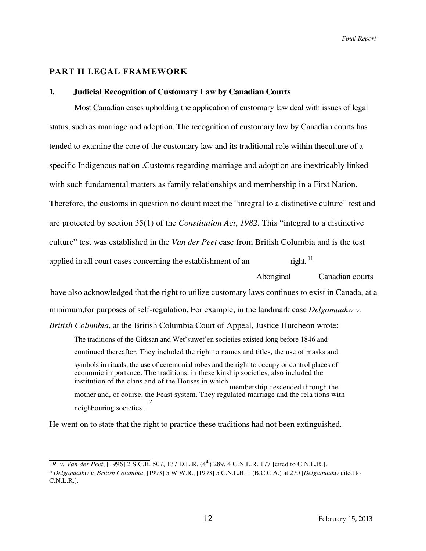#### **PART II LEGAL FRAMEWORK**

#### **1. Judicial Recognition of Customary Law by Canadian Courts**

Most Canadian cases upholding the application of customary law deal with issues of legal status, such as marriage and adoption. The recognition of customary law by Canadian courts has tended to examine the core of the customary law and its traditional role within theculture of a specific Indigenous nation .Customs regarding marriage and adoption are inextricably linked with such fundamental matters as family relationships and membership in a First Nation. Therefore, the customs in question no doubt meet the "integral to a distinctive culture" test and are protected by section 35(1) of the *Constitution Act*, *1982*. This "integral to a distinctive culture" test was established in the *Van der Peet* case from British Columbia and is the test applied in all court cases concerning the establishment of an right.  $11$ 

Aboriginal Canadian courts

have also acknowledged that the right to utilize customary laws continues to exist in Canada, at a minimum,for purposes of self-regulation. For example, in the landmark case *Delgamuukw v.* 

*British Columbia*, at the British Columbia Court of Appeal, Justice Hutcheon wrote: The traditions of the Gitksan and Wet'suwet'en societies existed long before 1846 and continued thereafter. They included the right to names and titles, the use of masks and symbols in rituals, the use of ceremonial robes and the right to occupy or control places of economic importance. The traditions, in these kinship societies, also included the institution of the clans and of the Houses in which membership descended through the mother and, of course, the Feast system. They regulated marriage and the rela tions with

12 neighbouring societies .

He went on to state that the right to practice these traditions had not been extinguished.

<sup>11</sup>*R. v. Van der Peet*, [1996] 2 S.C.R. 507, 137 D.L.R. (4th) 289, 4 C.N.L.R. 177 [cited to C.N.L.R.]. <sup>12</sup> *Delgamuukw v. British Columbia*, [1993] 5 W.W.R., [1993] 5 C.N.L.R. 1 (B.C.C.A.) at 270 [*Delgamuukw* cited to C.N.L.R.].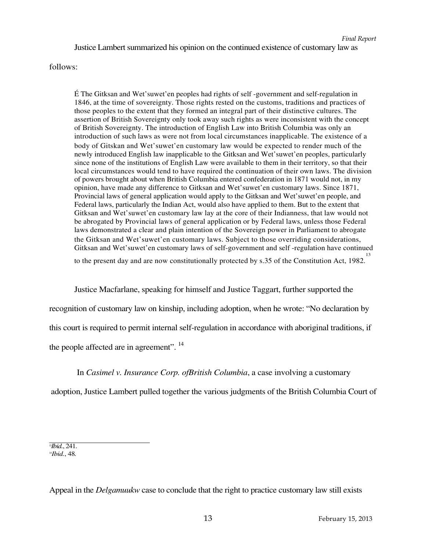Final Report Justice Lambert summarized his opinion on the continued existence of customary law as

follows:

É The Gitksan and Wet'suwet'en peoples had rights of self -government and self-regulation in 1846, at the time of sovereignty. Those rights rested on the customs, traditions and practices of those peoples to the extent that they formed an integral part of their distinctive cultures. The assertion of British Sovereignty only took away such rights as were inconsistent with the concept of British Sovereignty. The introduction of English Law into British Columbia was only an introduction of such laws as were not from local circumstances inapplicable. The existence of a body of Gitskan and Wet'suwet'en customary law would be expected to render much of the newly introduced English law inapplicable to the Gitksan and Wet'suwet'en peoples, particularly since none of the institutions of English Law were available to them in their territory, so that their local circumstances would tend to have required the continuation of their own laws. The division of powers brought about when British Columbia entered confederation in 1871 would not, in my opinion, have made any difference to Gitksan and Wet'suwet'en customary laws. Since 1871, Provincial laws of general application would apply to the Gitksan and Wet'suwet'en people, and Federal laws, particularly the Indian Act, would also have applied to them. But to the extent that Gitksan and Wet'suwet'en customary law lay at the core of their Indianness, that law would not be abrogated by Provincial laws of general application or by Federal laws, unless those Federal laws demonstrated a clear and plain intention of the Sovereign power in Parliament to abrogate the Gitksan and Wet'suwet'en customary laws. Subject to those overriding considerations, Gitksan and Wet'suwet'en customary laws of self-government and self -regulation have continued 13 to the present day and are now constitutionally protected by s.35 of the Constitution Act, 1982.

Justice Macfarlane, speaking for himself and Justice Taggart, further supported the recognition of customary law on kinship, including adoption, when he wrote: "No declaration by this court is required to permit internal self-regulation in accordance with aboriginal traditions, if the people affected are in agreement". <sup>14</sup>

In *Casimel v. Insurance Corp. ofBritish Columbia*, a case involving a customary

adoption, Justice Lambert pulled together the various judgments of the British Columbia Court of

<sup>13</sup>*Ibid.*, 241. <sup>14</sup>*Ibid.*, 48*.* 

Appeal in the *Delgamuukw* case to conclude that the right to practice customary law still exists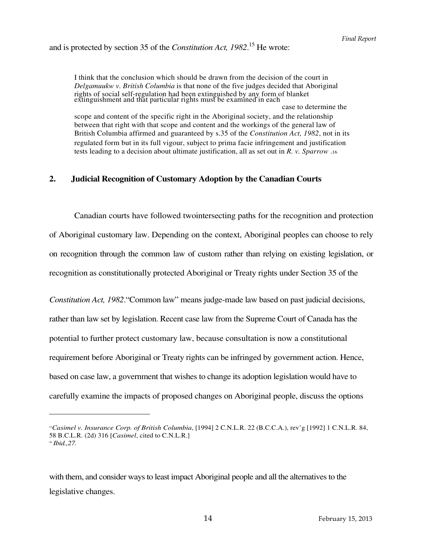I think that the conclusion which should be drawn from the decision of the court in *Delgamuukw v. British Columbia* is that none of the five judges decided that Aboriginal rights of social self-regulation had been extinguished by any form of blanket extinguishment and that particular rights must be examined in each case to determine the scope and content of the specific right in the Aboriginal society, and the relationship between that right with that scope and content and the workings of the general law of British Columbia affirmed and guaranteed by s.35 of the *Constitution Act, 1982*, not in its regulated form but in its full vigour, subject to prima facie infringement and justification tests leading to a decision about ultimate justification, all as set out in *R. v. Sparrow* .<sup>16</sup>

#### **2. Judicial Recognition of Customary Adoption by the Canadian Courts**

Canadian courts have followed twointersecting paths for the recognition and protection of Aboriginal customary law. Depending on the context, Aboriginal peoples can choose to rely on recognition through the common law of custom rather than relying on existing legislation, or recognition as constitutionally protected Aboriginal or Treaty rights under Section 35 of the

*Constitution Act, 1982*."Common law" means judge-made law based on past judicial decisions, rather than law set by legislation. Recent case law from the Supreme Court of Canada has the potential to further protect customary law, because consultation is now a constitutional requirement before Aboriginal or Treaty rights can be infringed by government action. Hence, based on case law, a government that wishes to change its adoption legislation would have to carefully examine the impacts of proposed changes on Aboriginal people, discuss the options

<sup>15</sup>*Casimel v. Insurance Corp. of British Columbia*, [1994] 2 C.N.L.R. 22 (B.C.C.A.), rev'g [1992] 1 C.N.L.R. 84, 58 B.C.L.R. (2d) 316 [*Casimel*, cited to C.N.L.R.] <sup>16</sup> *Ibid.,27.* 

with them, and consider ways to least impact Aboriginal people and all the alternatives to the legislative changes.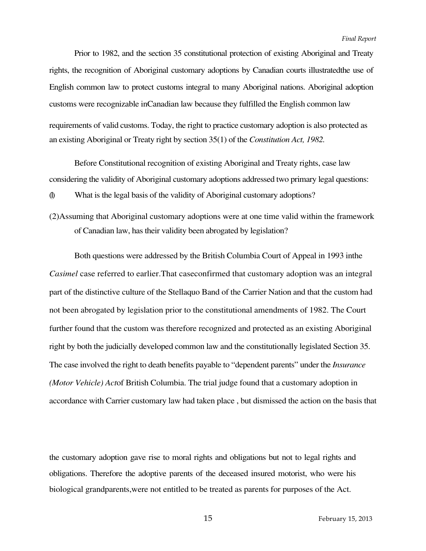Prior to 1982, and the section 35 constitutional protection of existing Aboriginal and Treaty rights, the recognition of Aboriginal customary adoptions by Canadian courts illustratedthe use of English common law to protect customs integral to many Aboriginal nations. Aboriginal adoption customs were recognizable inCanadian law because they fulfilled the English common law requirements of valid customs. Today, the right to practice customary adoption is also protected as an existing Aboriginal or Treaty right by section 35(1) of the *Constitution Act, 1982.* 

Before Constitutional recognition of existing Aboriginal and Treaty rights, case law considering the validity of Aboriginal customary adoptions addressed two primary legal questions:

(1) What is the legal basis of the validity of Aboriginal customary adoptions?

(2)Assuming that Aboriginal customary adoptions were at one time valid within the framework of Canadian law, has their validity been abrogated by legislation?

Both questions were addressed by the British Columbia Court of Appeal in 1993 inthe *Casimel* case referred to earlier.That caseconfirmed that customary adoption was an integral part of the distinctive culture of the Stellaquo Band of the Carrier Nation and that the custom had not been abrogated by legislation prior to the constitutional amendments of 1982. The Court further found that the custom was therefore recognized and protected as an existing Aboriginal right by both the judicially developed common law and the constitutionally legislated Section 35. The case involved the right to death benefits payable to "dependent parents" under the *Insurance (Motor Vehicle) Act*of British Columbia. The trial judge found that a customary adoption in accordance with Carrier customary law had taken place , but dismissed the action on the basis that

the customary adoption gave rise to moral rights and obligations but not to legal rights and obligations. Therefore the adoptive parents of the deceased insured motorist, who were his biological grandparents,were not entitled to be treated as parents for purposes of the Act.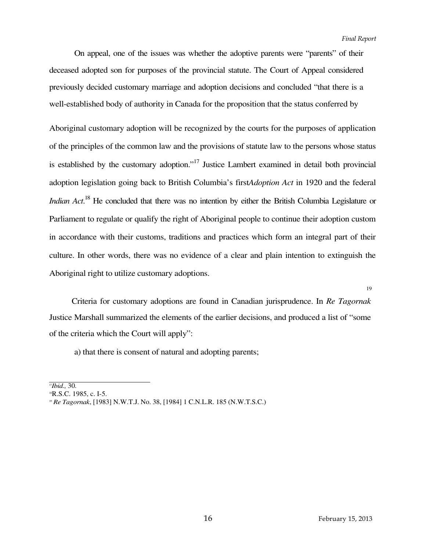On appeal, one of the issues was whether the adoptive parents were "parents" of their deceased adopted son for purposes of the provincial statute. The Court of Appeal considered previously decided customary marriage and adoption decisions and concluded "that there is a well-established body of authority in Canada for the proposition that the status conferred by

Aboriginal customary adoption will be recognized by the courts for the purposes of application of the principles of the common law and the provisions of statute law to the persons whose status is established by the customary adoption."<sup>17</sup> Justice Lambert examined in detail both provincial adoption legislation going back to British Columbia's first*Adoption Act* in 1920 and the federal *Indian Act*. <sup>18</sup> He concluded that there was no intention by either the British Columbia Legislature or Parliament to regulate or qualify the right of Aboriginal people to continue their adoption custom in accordance with their customs, traditions and practices which form an integral part of their culture. In other words, there was no evidence of a clear and plain intention to extinguish the Aboriginal right to utilize customary adoptions.

19

Criteria for customary adoptions are found in Canadian jurisprudence. In *Re Tagornak*  Justice Marshall summarized the elements of the earlier decisions, and produced a list of "some of the criteria which the Court will apply":

a) that there is consent of natural and adopting parents;

<sup>17</sup>*Ibid.,* 30.

<sup>&</sup>lt;sup>18</sup>R.S.C. 1985, c. I-5.

<sup>19</sup> *Re Tagornak*, [1983] N.W.T.J. No. 38, [1984] 1 C.N.L.R. 185 (N.W.T.S.C.)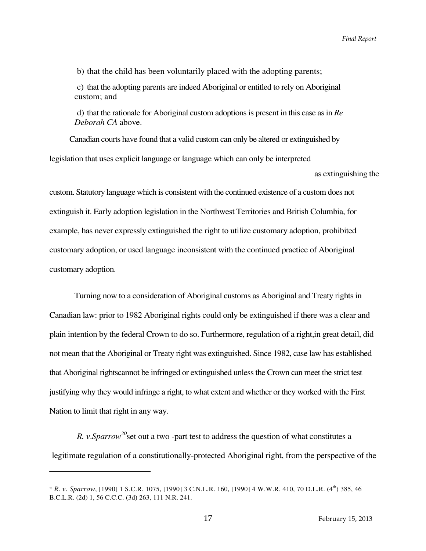b) that the child has been voluntarily placed with the adopting parents;

c) that the adopting parents are indeed Aboriginal or entitled to rely on Aboriginal custom; and

d) that the rationale for Aboriginal custom adoptions is present in this case as in *Re Deborah CA* above.

Canadian courts have found that a valid custom can only be altered or extinguished by legislation that uses explicit language or language which can only be interpreted

#### as extinguishing the

custom. Statutory language which is consistent with the continued existence of a custom does not extinguish it. Early adoption legislation in the Northwest Territories and British Columbia, for example, has never expressly extinguished the right to utilize customary adoption, prohibited customary adoption, or used language inconsistent with the continued practice of Aboriginal customary adoption.

Turning now to a consideration of Aboriginal customs as Aboriginal and Treaty rights in Canadian law: prior to 1982 Aboriginal rights could only be extinguished if there was a clear and plain intention by the federal Crown to do so. Furthermore, regulation of a right,in great detail, did not mean that the Aboriginal or Treaty right was extinguished. Since 1982, case law has established that Aboriginal rightscannot be infringed or extinguished unless the Crown can meet the strict test justifying why they would infringe a right, to what extent and whether or they worked with the First Nation to limit that right in any way.

*R. v*.*Sparrow<sup>20</sup>*set out a two -part test to address the question of what constitutes a legitimate regulation of a constitutionally-protected Aboriginal right, from the perspective of the

<sup>20</sup> *R. v. Sparrow*, [1990] 1 S.C.R. 1075, [1990] 3 C.N.L.R. 160, [1990] 4 W.W.R. 410, 70 D.L.R. (4th) 385, 46 B.C.L.R. (2d) 1, 56 C.C.C. (3d) 263, 111 N.R. 241.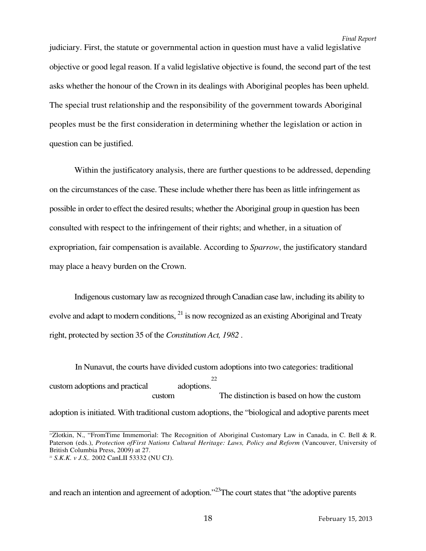judiciary. First, the statute or governmental action in question must have a valid legislative objective or good legal reason. If a valid legislative objective is found, the second part of the test asks whether the honour of the Crown in its dealings with Aboriginal peoples has been upheld. The special trust relationship and the responsibility of the government towards Aboriginal peoples must be the first consideration in determining whether the legislation or action in question can be justified.

Within the justificatory analysis, there are further questions to be addressed, depending on the circumstances of the case. These include whether there has been as little infringement as possible in order to effect the desired results; whether the Aboriginal group in question has been consulted with respect to the infringement of their rights; and whether, in a situation of expropriation, fair compensation is available. According to *Sparrow*, the justificatory standard may place a heavy burden on the Crown.

Indigenous customary law as recognized through Canadian case law, including its ability to evolve and adapt to modern conditions,  $^{21}$  is now recognized as an existing Aboriginal and Treaty right, protected by section 35 of the *Constitution Act, 1982* .

In Nunavut, the courts have divided custom adoptions into two categories: traditional 22 custom adoptions and practical adoptions. custom The distinction is based on how the custom adoption is initiated. With traditional custom adoptions, the "biological and adoptive parents meet

<sup>22</sup> *S.K.K. v J.S,.* 2002 CanLII 53332 (NU CJ).

and reach an intention and agreement of adoption."<sup>23</sup>The court states that "the adoptive parents"

<sup>&</sup>lt;sup>21</sup>Zlotkin, N., "FromTime Immemorial: The Recognition of Aboriginal Customary Law in Canada, in C. Bell & R. Paterson (eds.), Protection ofFirst Nations Cultural Heritage: Laws, Policy and Reform (Vancouver, University of British Columbia Press, 2009) at 27.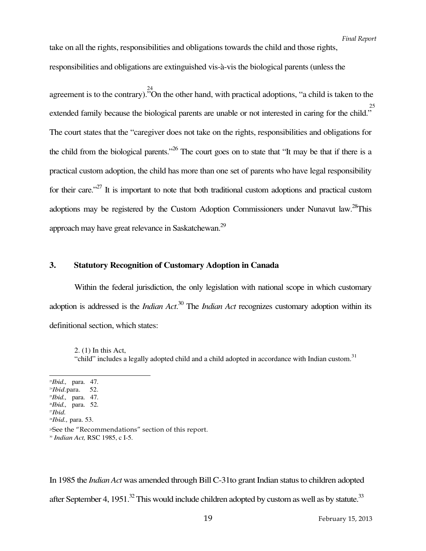take on all the rights, responsibilities and obligations towards the child and those rights, responsibilities and obligations are extinguished vis-à-vis the biological parents (unless the

agreement is to the contrary)."On the other hand, with practical adoptions, "a child is taken to the 25 extended family because the biological parents are unable or not interested in caring for the child." The court states that the "caregiver does not take on the rights, responsibilities and obligations for the child from the biological parents."<sup>26</sup> The court goes on to state that "It may be that if there is a practical custom adoption, the child has more than one set of parents who have legal responsibility for their care."<sup>27</sup> It is important to note that both traditional custom adoptions and practical custom adoptions may be registered by the Custom Adoption Commissioners under Nunavut law.<sup>28</sup>This approach may have great relevance in Saskatchewan.<sup>29</sup>

#### **3. Statutory Recognition of Customary Adoption in Canada**

Within the federal jurisdiction, the only legislation with national scope in which customary adoption is addressed is the *Indian Act*. <sup>30</sup> The *Indian Act* recognizes customary adoption within its definitional section, which states:

2. (1) In this Act,

"child" includes a legally adopted child and a child adopted in accordance with Indian custom.<sup>31</sup>

In 1985 the *Indian Act* was amended through Bill C-31to grant Indian status to children adopted after September 4, 1951.<sup>32</sup> This would include children adopted by custom as well as by statute.<sup>33</sup>

<sup>23</sup>*Ibid.,* para. 47.

<sup>24</sup>*Ibid.*para. 52.

<sup>25</sup>*Ibid.,* para. 47.

<sup>26</sup>*Ibid.,* para. 52. <sup>27</sup>*Ibid.* 

<sup>28</sup>*Ibid.,* para. 53.

<sup>29</sup>See the "Recommendations" section of this report.

<sup>30</sup> *Indian Act,* RSC 1985, c I-5.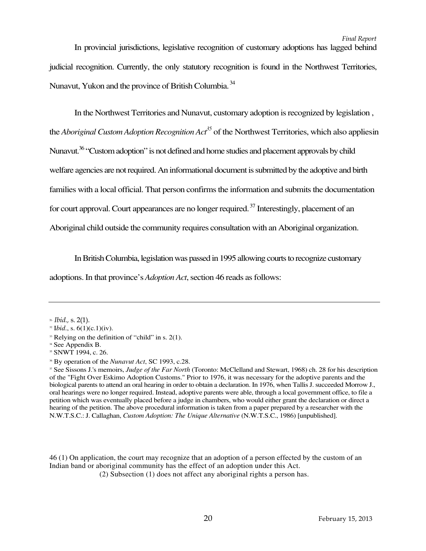In provincial jurisdictions, legislative recognition of customary adoptions has lagged behind judicial recognition. Currently, the only statutory recognition is found in the Northwest Territories, Nunavut, Yukon and the province of British Columbia.<sup>34</sup>

In the Northwest Territories and Nunavut, customary adoption is recognized by legislation , the *Aboriginal Custom Adoption Recognition Act<sup>35</sup>* of the Northwest Territories, which also appliesin Nunavut.<sup>36</sup> "Custom adoption" is not defined and home studies and placement approvals by child welfare agencies are not required. An informational document is submitted by the adoptive and birth families with a local official. That person confirms the information and submits the documentation for court approval. Court appearances are no longer required.<sup>37</sup> Interestingly, placement of an Aboriginal child outside the community requires consultation with an Aboriginal organization.

In British Columbia, legislation was passed in 1995 allowing courts to recognize customary adoptions. In that province's *Adoption Act*, section 46 reads as follows:

<sup>37</sup> See Sissons J.'s memoirs, *Judge of the Far North* (Toronto: McClelland and Stewart, 1968) ch. 28 for his description of the "Fight Over Eskimo Adoption Customs." Prior to 1976, it was necessary for the adoptive parents and the biological parents to attend an oral hearing in order to obtain a declaration. In 1976, when Tallis J. succeeded Morrow J., oral hearings were no longer required. Instead, adoptive parents were able, through a local government office, to file a petition which was eventually placed before a judge in chambers, who would either grant the declaration or direct a hearing of the petition. The above procedural information is taken from a paper prepared by a researcher with the N.W.T.S.C.: J. Callaghan, *Custom Adoption: The Unique Alternative* (N.W.T.S.C., 1986) [unpublished].

46 (1) On application, the court may recognize that an adoption of a person effected by the custom of an Indian band or aboriginal community has the effect of an adoption under this Act.

(2) Subsection (1) does not affect any aboriginal rights a person has.

 $31$ - Ibid., s. 2(1).

 $32$  *Ibid.*, s.  $6(1)(c.1)(iv)$ .

 $33$  Relying on the definition of "child" in s. 2(1).

<sup>&</sup>lt;sup>34</sup> See Appendix B.

<sup>35</sup> SNWT 1994, c. 26.

<sup>36</sup> By operation of the *Nunavut Act*, SC 1993, c.28.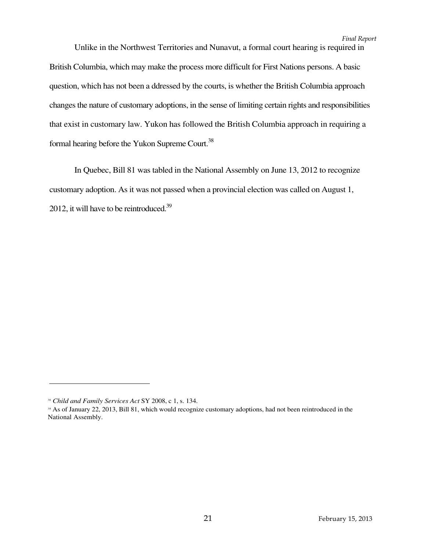Unlike in the Northwest Territories and Nunavut, a formal court hearing is required in British Columbia, which may make the process more difficult for First Nations persons. A basic question, which has not been a ddressed by the courts, is whether the British Columbia approach changes the nature of customary adoptions, in the sense of limiting certain rights and responsibilities that exist in customary law. Yukon has followed the British Columbia approach in requiring a formal hearing before the Yukon Supreme Court.<sup>38</sup>

In Quebec, Bill 81 was tabled in the National Assembly on June 13, 2012 to recognize customary adoption. As it was not passed when a provincial election was called on August 1, 2012, it will have to be reintroduced. $39$ 

<sup>38</sup> *Child and Family Services Act* SY 2008, c 1, s. 134.

<sup>&</sup>lt;sup>39</sup> As of January 22, 2013, Bill 81, which would recognize customary adoptions, had not been reintroduced in the National Assembly.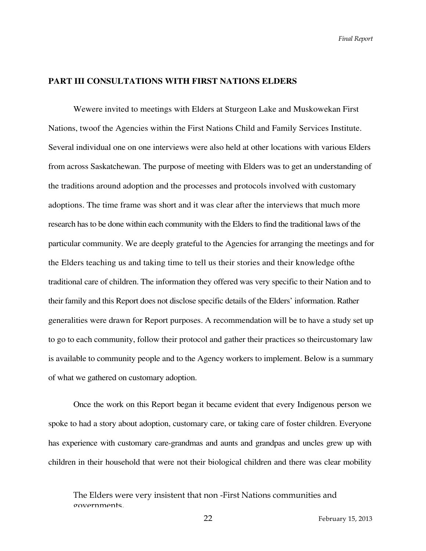### **PART III CONSULTATIONS WITH FIRST NATIONS ELDERS**

Wewere invited to meetings with Elders at Sturgeon Lake and Muskowekan First Nations, twoof the Agencies within the First Nations Child and Family Services Institute. Several individual one on one interviews were also held at other locations with various Elders from across Saskatchewan. The purpose of meeting with Elders was to get an understanding of the traditions around adoption and the processes and protocols involved with customary adoptions. The time frame was short and it was clear after the interviews that much more research has to be done within each community with the Elders to find the traditional laws of the particular community. We are deeply grateful to the Agencies for arranging the meetings and for the Elders teaching us and taking time to tell us their stories and their knowledge ofthe traditional care of children. The information they offered was very specific to their Nation and to their family and this Report does not disclose specific details of the Elders' information. Rather generalities were drawn for Report purposes. A recommendation will be to have a study set up to go to each community, follow their protocol and gather their practices so theircustomary law is available to community people and to the Agency workers to implement. Below is a summary of what we gathered on customary adoption.

Once the work on this Report began it became evident that every Indigenous person we spoke to had a story about adoption, customary care, or taking care of foster children. Everyone has experience with customary care-grandmas and aunts and grandpas and uncles grew up with children in their household that were not their biological children and there was clear mobility

The Elders were very insistent that non -First Nations communities and governments,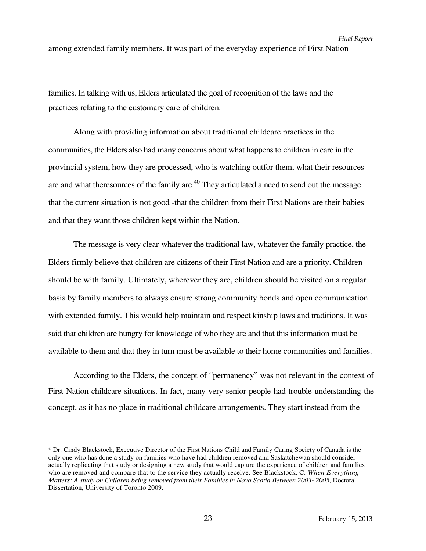among extended family members. It was part of the everyday experience of First Nation

families. In talking with us, Elders articulated the goal of recognition of the laws and the practices relating to the customary care of children.

Along with providing information about traditional childcare practices in the communities, the Elders also had many concerns about what happens to children in care in the provincial system, how they are processed, who is watching outfor them, what their resources are and what theresources of the family are.<sup>40</sup> They articulated a need to send out the message that the current situation is not good -that the children from their First Nations are their babies and that they want those children kept within the Nation.

The message is very clear-whatever the traditional law, whatever the family practice, the Elders firmly believe that children are citizens of their First Nation and are a priority. Children should be with family. Ultimately, wherever they are, children should be visited on a regular basis by family members to always ensure strong community bonds and open communication with extended family. This would help maintain and respect kinship laws and traditions. It was said that children are hungry for knowledge of who they are and that this information must be available to them and that they in turn must be available to their home communities and families.

According to the Elders, the concept of "permanency" was not relevant in the context of First Nation childcare situations. In fact, many very senior people had trouble understanding the concept, as it has no place in traditional childcare arrangements. They start instead from the

<sup>40</sup> Dr. Cindy Blackstock, Executive Director of the First Nations Child and Family Caring Society of Canada is the only one who has done a study on families who have had children removed and Saskatchewan should consider actually replicating that study or designing a new study that would capture the experience of children and families who are removed and compare that to the service they actually receive. See Blackstock, C. *When Everything Matters: A study on Children being removed from their Families in Nova Scotia Between 2003- 2005,* Doctoral Dissertation, University of Toronto 2009.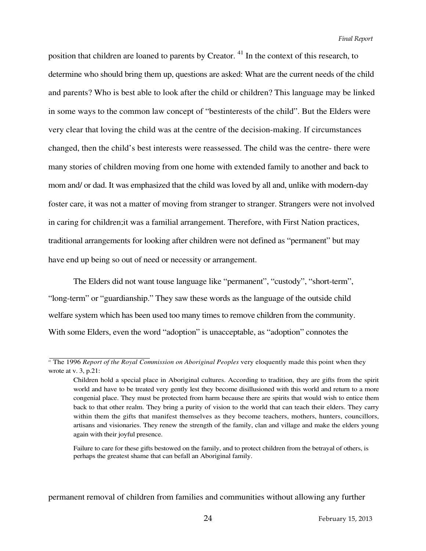position that children are loaned to parents by Creator.  $41$  In the context of this research, to determine who should bring them up, questions are asked: What are the current needs of the child and parents? Who is best able to look after the child or children? This language may be linked in some ways to the common law concept of "bestinterests of the child". But the Elders were very clear that loving the child was at the centre of the decision-making. If circumstances changed, then the child's best interests were reassessed. The child was the centre- there were many stories of children moving from one home with extended family to another and back to mom and/ or dad. It was emphasized that the child was loved by all and, unlike with modern-day foster care, it was not a matter of moving from stranger to stranger. Strangers were not involved in caring for children;it was a familial arrangement. Therefore, with First Nation practices, traditional arrangements for looking after children were not defined as "permanent" but may have end up being so out of need or necessity or arrangement.

The Elders did not want touse language like "permanent", "custody", "short-term", "long-term" or "guardianship." They saw these words as the language of the outside child welfare system which has been used too many times to remove children from the community. With some Elders, even the word "adoption" is unacceptable, as "adoption" connotes the

Failure to care for these gifts bestowed on the family, and to protect children from the betrayal of others, is perhaps the greatest shame that can befall an Aboriginal family.

permanent removal of children from families and communities without allowing any further

<sup>&</sup>lt;sup>41</sup> The 1996 *Report of the Royal Commission on Aboriginal Peoples* very eloquently made this point when they wrote at v. 3, p.21:

Children hold a special place in Aboriginal cultures. According to tradition, they are gifts from the spirit world and have to be treated very gently lest they become disillusioned with this world and return to a more congenial place. They must be protected from harm because there are spirits that would wish to entice them back to that other realm. They bring a purity of vision to the world that can teach their elders. They carry within them the gifts that manifest themselves as they become teachers, mothers, hunters, councillors, artisans and visionaries. They renew the strength of the family, clan and village and make the elders young again with their joyful presence.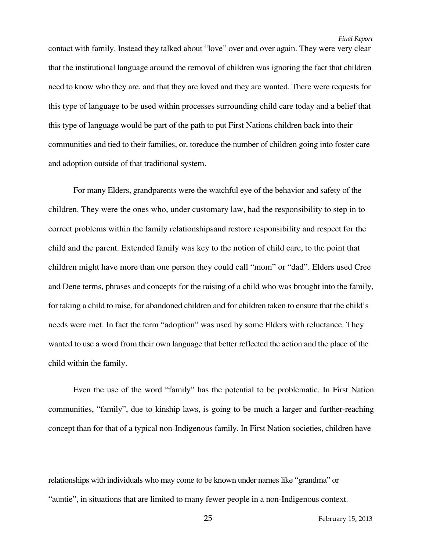contact with family. Instead they talked about "love" over and over again. They were very clear that the institutional language around the removal of children was ignoring the fact that children need to know who they are, and that they are loved and they are wanted. There were requests for this type of language to be used within processes surrounding child care today and a belief that this type of language would be part of the path to put First Nations children back into their communities and tied to their families, or, toreduce the number of children going into foster care and adoption outside of that traditional system.

For many Elders, grandparents were the watchful eye of the behavior and safety of the children. They were the ones who, under customary law, had the responsibility to step in to correct problems within the family relationshipsand restore responsibility and respect for the child and the parent. Extended family was key to the notion of child care, to the point that children might have more than one person they could call "mom" or "dad". Elders used Cree and Dene terms, phrases and concepts for the raising of a child who was brought into the family, for taking a child to raise, for abandoned children and for children taken to ensure that the child's needs were met. In fact the term "adoption" was used by some Elders with reluctance. They wanted to use a word from their own language that better reflected the action and the place of the child within the family.

Even the use of the word "family" has the potential to be problematic. In First Nation communities, "family", due to kinship laws, is going to be much a larger and further-reaching concept than for that of a typical non-Indigenous family. In First Nation societies, children have

relationships with individuals who may come to be known under names like "grandma" or "auntie", in situations that are limited to many fewer people in a non-Indigenous context.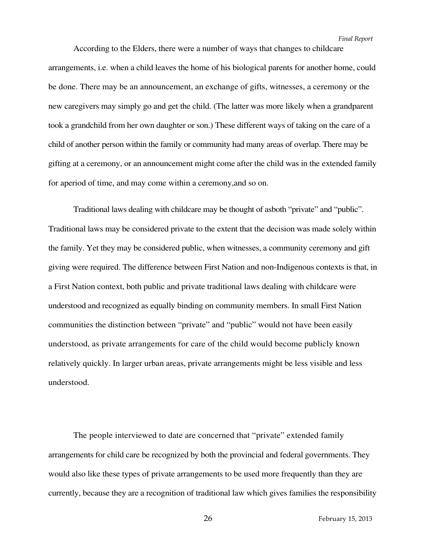According to the Elders, there were a number of ways that changes to childcare arrangements, i.e. when a child leaves the home of his biological parents for another home, could be done. There may be an announcement, an exchange of gifts, witnesses, a ceremony or the new caregivers may simply go and get the child. (The latter was more likely when a grandparent took a grandchild from her own daughter or son.) These different ways of taking on the care of a child of another person within the family or community had many areas of overlap. There may be gifting at a ceremony, or an announcement might come after the child was in the extended family for aperiod of time, and may come within a ceremony,and so on.

Traditional laws dealing with childcare may be thought of asboth "private" and "public". Traditional laws may be considered private to the extent that the decision was made solely within the family. Yet they may be considered public, when witnesses, a community ceremony and gift giving were required. The difference between First Nation and non-Indigenous contexts is that, in a First Nation context, both public and private traditional laws dealing with childcare were understood and recognized as equally binding on community members. In small First Nation communities the distinction between "private" and "public" would not have been easily understood, as private arrangements for care of the child would become publicly known relatively quickly. In larger urban areas, private arrangements might be less visible and less understood.

The people interviewed to date are concerned that "private" extended family arrangements for child care be recognized by both the provincial and federal governments. They would also like these types of private arrangements to be used more frequently than they are currently, because they are a recognition of traditional law which gives families the responsibility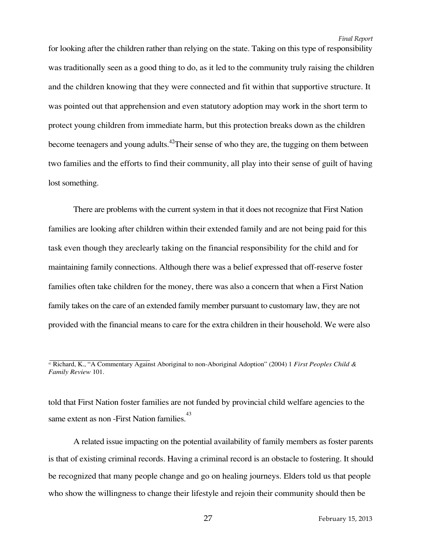for looking after the children rather than relying on the state. Taking on this type of responsibility was traditionally seen as a good thing to do, as it led to the community truly raising the children and the children knowing that they were connected and fit within that supportive structure. It was pointed out that apprehension and even statutory adoption may work in the short term to protect young children from immediate harm, but this protection breaks down as the children become teenagers and young adults.<sup>42</sup>Their sense of who they are, the tugging on them between two families and the efforts to find their community, all play into their sense of guilt of having lost something.

There are problems with the current system in that it does not recognize that First Nation families are looking after children within their extended family and are not being paid for this task even though they areclearly taking on the financial responsibility for the child and for maintaining family connections. Although there was a belief expressed that off-reserve foster families often take children for the money, there was also a concern that when a First Nation family takes on the care of an extended family member pursuant to customary law, they are not provided with the financial means to care for the extra children in their household. We were also

told that First Nation foster families are not funded by provincial child welfare agencies to the same extent as non -First Nation families.<sup>43</sup>

A related issue impacting on the potential availability of family members as foster parents is that of existing criminal records. Having a criminal record is an obstacle to fostering. It should be recognized that many people change and go on healing journeys. Elders told us that people who show the willingness to change their lifestyle and rejoin their community should then be

<sup>42</sup> Richard, K., "A Commentary Against Aboriginal to non-Aboriginal Adoption" (2004) 1 *First Peoples Child & Family Review* 101.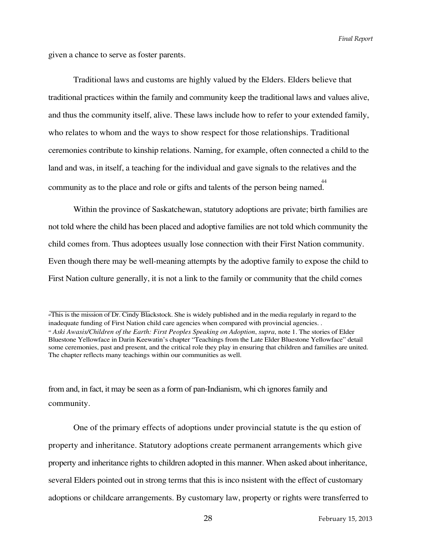given a chance to serve as foster parents.

Traditional laws and customs are highly valued by the Elders. Elders believe that traditional practices within the family and community keep the traditional laws and values alive, and thus the community itself, alive. These laws include how to refer to your extended family, who relates to whom and the ways to show respect for those relationships. Traditional ceremonies contribute to kinship relations. Naming, for example, often connected a child to the land and was, in itself, a teaching for the individual and gave signals to the relatives and the 44 community as to the place and role or gifts and talents of the person being named.

Within the province of Saskatchewan, statutory adoptions are private; birth families are not told where the child has been placed and adoptive families are not told which community the child comes from. Thus adoptees usually lose connection with their First Nation community. Even though there may be well-meaning attempts by the adoptive family to expose the child to First Nation culture generally, it is not a link to the family or community that the child comes

from and, in fact, it may be seen as a form of pan-Indianism, whi ch ignores family and community.

One of the primary effects of adoptions under provincial statute is the qu estion of property and inheritance. Statutory adoptions create permanent arrangements which give property and inheritance rights to children adopted in this manner. When asked about inheritance, several Elders pointed out in strong terms that this is inco nsistent with the effect of customary adoptions or childcare arrangements. By customary law, property or rights were transferred to

<sup>&</sup>lt;sup>43</sup>This is the mission of Dr. Cindy Blackstock. She is widely published and in the media regularly in regard to the inadequate funding of First Nation child care agencies when compared with provincial agencies. .

<sup>44</sup> *Aski Awasis/Children of the Earth: First Peoples Speaking on Adoption*, *supra*, note 1. The stories of Elder Bluestone Yellowface in Darin Keewatin's chapter "Teachings from the Late Elder Bluestone Yellowface" detail some ceremonies, past and present, and the critical role they play in ensuring that children and families are united. The chapter reflects many teachings within our communities as well.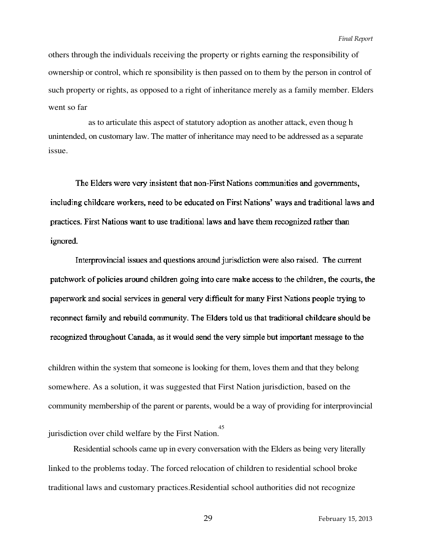others through the individuals receiving the property or rights earning the responsibility of ownership or control, which re sponsibility is then passed on to them by the person in control of such property or rights, as opposed to a right of inheritance merely as a family member. Elders went so far

as to articulate this aspect of statutory adoption as another attack, even thoug h unintended, on customary law. The matter of inheritance may need to be addressed as a separate issue.

The Elders were very insistent that non-First Nations communities and governments, including childcare workers, need to be educated on First Nations' ways and traditional laws and practices. First Nations want to use traditional laws and have them recognized rather than ignored.

Interprovincial issues and questions around jurisdiction were also raised. The current patchwork of policies around children going into care make access to the children, the courts, the paperwork and social services in general very difficult for many First Nations people trying to reconnect family and rebuild community. The Elders told us that traditional childcare should be recognized throughout Canada, as it would send the very simple but important message to the

children within the system that someone is looking for them, loves them and that they belong somewhere. As a solution, it was suggested that First Nation jurisdiction, based on the community membership of the parent or parents, would be a way of providing for interprovincial

45 jurisdiction over child welfare by the First Nation.

Residential schools came up in every conversation with the Elders as being very literally linked to the problems today. The forced relocation of children to residential school broke traditional laws and customary practices.Residential school authorities did not recognize

29 February 15, 2013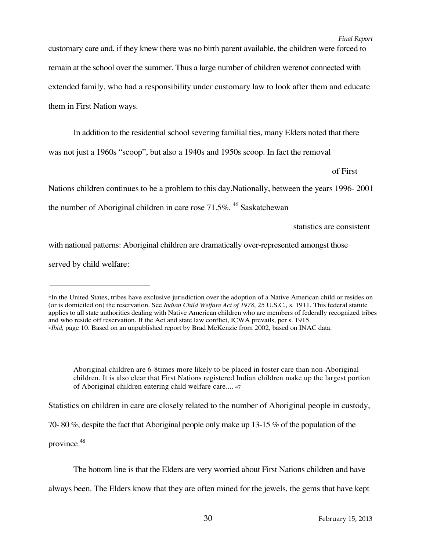customary care and, if they knew there was no birth parent available, the children were forced to remain at the school over the summer. Thus a large number of children werenot connected with extended family, who had a responsibility under customary law to look after them and educate them in First Nation ways.

In addition to the residential school severing familial ties, many Elders noted that there

was not just a 1960s "scoop", but also a 1940s and 1950s scoop. In fact the removal

of First

Nations children continues to be a problem to this day.Nationally, between the years 1996- 2001

the number of Aboriginal children in care rose  $71.5\%$ . <sup>46</sup> Saskatchewan

statistics are consistent

with national patterns: Aboriginal children are dramatically over-represented amongst those served by child welfare:

Aboriginal children are 6-8times more likely to be placed in foster care than non-Aboriginal children. It is also clear that First Nations registered Indian children make up the largest portion of Aboriginal children entering child welfare care.... 47

Statistics on children in care are closely related to the number of Aboriginal people in custody,

70- 80 %, despite the fact that Aboriginal people only make up 13-15 % of the population of the

province.<sup>48</sup>

always been. The Elders know that they are often mined for the jewels, the gems that have kept

<sup>45</sup>In the United States, tribes have exclusive jurisdiction over the adoption of a Native American child or resides on (or is domiciled on) the reservation. See *Indian Child Welfare Act of 1978*, 25 U.S.C., s. 1911. This federal statute applies to all state authorities dealing with Native American children who are members of federally recognized tribes and who reside off reservation. If the Act and state law conflict, ICWA prevails, per s. 1915. <sup>46</sup>*Ibid,* page 10. Based on an unpublished report by Brad McKenzie from 2002, based on INAC data.

The bottom line is that the Elders are very worried about First Nations children and have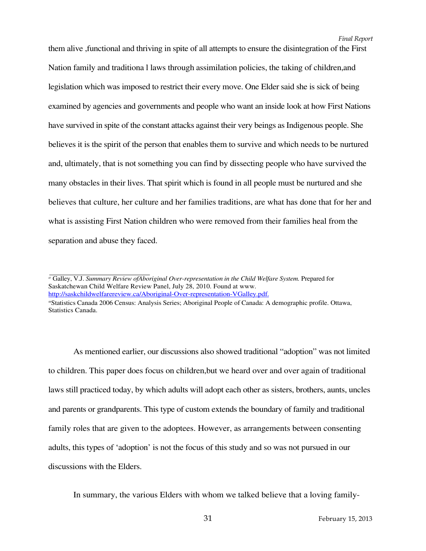them alive ,functional and thriving in spite of all attempts to ensure the disintegration of the First Nation family and traditiona l laws through assimilation policies, the taking of children,and legislation which was imposed to restrict their every move. One Elder said she is sick of being examined by agencies and governments and people who want an inside look at how First Nations have survived in spite of the constant attacks against their very beings as Indigenous people. She believes it is the spirit of the person that enables them to survive and which needs to be nurtured and, ultimately, that is not something you can find by dissecting people who have survived the many obstacles in their lives. That spirit which is found in all people must be nurtured and she believes that culture, her culture and her families traditions, are what has done that for her and what is assisting First Nation children who were removed from their families heal from the separation and abuse they faced.

<sup>47</sup> Galley, V.J. *Summary Review ofAboriginal Over-representation in the Child Welfare System. Prepared for* Saskatchewan Child Welfare Review Panel, July 28, 2010. Found at www. http://saskchildwelfarereview.ca/Aboriginal-Over-representation-VGalley.pdf.

As mentioned earlier, our discussions also showed traditional "adoption" was not limited to children. This paper does focus on children,but we heard over and over again of traditional laws still practiced today, by which adults will adopt each other as sisters, brothers, aunts, uncles and parents or grandparents. This type of custom extends the boundary of family and traditional family roles that are given to the adoptees. However, as arrangements between consenting adults, this types of 'adoption' is not the focus of this study and so was not pursued in our discussions with the Elders.

In summary, the various Elders with whom we talked believe that a loving family-

<sup>48</sup>Statistics Canada 2006 Census: Analysis Series; Aboriginal People of Canada: A demographic profile. Ottawa, Statistics Canada.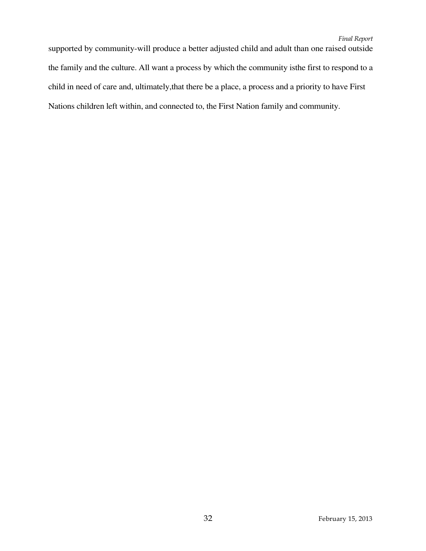supported by community-will produce a better adjusted child and adult than one raised outside the family and the culture. All want a process by which the community isthe first to respond to a child in need of care and, ultimately,that there be a place, a process and a priority to have First Nations children left within, and connected to, the First Nation family and community.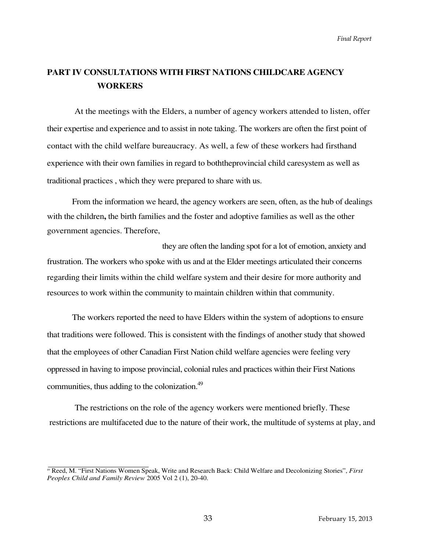# **PART IV CONSULTATIONS WITH FIRST NATIONS CHILDCARE AGENCY WORKERS**

At the meetings with the Elders, a number of agency workers attended to listen, offer their expertise and experience and to assist in note taking. The workers are often the first point of contact with the child welfare bureaucracy. As well, a few of these workers had firsthand experience with their own families in regard to boththeprovincial child caresystem as well as traditional practices , which they were prepared to share with us.

From the information we heard, the agency workers are seen, often, as the hub of dealings with the children**,** the birth families and the foster and adoptive families as well as the other government agencies. Therefore,

they are often the landing spot for a lot of emotion, anxiety and frustration. The workers who spoke with us and at the Elder meetings articulated their concerns regarding their limits within the child welfare system and their desire for more authority and resources to work within the community to maintain children within that community.

The workers reported the need to have Elders within the system of adoptions to ensure that traditions were followed. This is consistent with the findings of another study that showed that the employees of other Canadian First Nation child welfare agencies were feeling very oppressed in having to impose provincial, colonial rules and practices within their First Nations communities, thus adding to the colonization.<sup>49</sup>

The restrictions on the role of the agency workers were mentioned briefly. These restrictions are multifaceted due to the nature of their work, the multitude of systems at play, and

<sup>49</sup> Reed, M. "First Nations Women Speak, Write and Research Back: Child Welfare and Decolonizing Stories", *First Peoples Child and Family Review* 2005 Vol 2 (1), 20-40.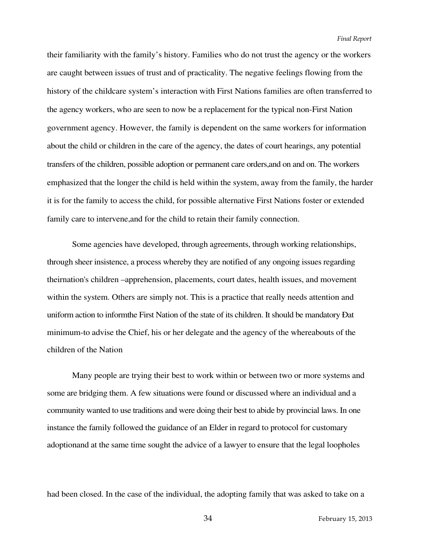their familiarity with the family's history. Families who do not trust the agency or the workers are caught between issues of trust and of practicality. The negative feelings flowing from the history of the childcare system's interaction with First Nations families are often transferred to the agency workers, who are seen to now be a replacement for the typical non-First Nation government agency. However, the family is dependent on the same workers for information about the child or children in the care of the agency, the dates of court hearings, any potential transfers of the children, possible adoption or permanent care orders,and on and on. The workers emphasized that the longer the child is held within the system, away from the family, the harder it is for the family to access the child, for possible alternative First Nations foster or extended family care to intervene,and for the child to retain their family connection.

Some agencies have developed, through agreements, through working relationships, through sheer insistence, a process whereby they are notified of any ongoing issues regarding theirnation's children –apprehension, placements, court dates, health issues, and movement within the system. Others are simply not. This is a practice that really needs attention and uniform action to informthe First Nation of the state of its children. It should be mandatory Ðat minimum-to advise the Chief, his or her delegate and the agency of the whereabouts of the children of the Nation.

Many people are trying their best to work within or between two or more systems and some are bridging them. A few situations were found or discussed where an individual and a community wanted to use traditions and were doing their best to abide by provincial laws. In one instance the family followed the guidance of an Elder in regard to protocol for customary adoptionand at the same time sought the advice of a lawyer to ensure that the legal loopholes

had been closed. In the case of the individual, the adopting family that was asked to take on a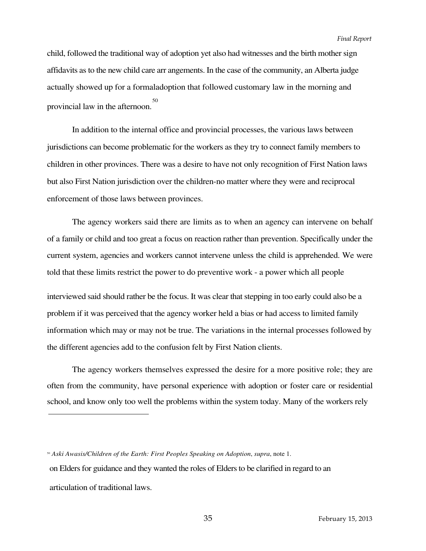child, followed the traditional way of adoption yet also had witnesses and the birth mother sign affidavits as to the new child care arr angements. In the case of the community, an Alberta judge actually showed up for a formaladoption that followed customary law in the morning and 50 provincial law in the afternoon.

In addition to the internal office and provincial processes, the various laws between jurisdictions can become problematic for the workers as they try to connect family members to children in other provinces. There was a desire to have not only recognition of First Nation laws but also First Nation jurisdiction over the children-no matter where they were and reciprocal enforcement of those laws between provinces.

The agency workers said there are limits as to when an agency can intervene on behalf of a family or child and too great a focus on reaction rather than prevention. Specifically under the current system, agencies and workers cannot intervene unless the child is apprehended. We were told that these limits restrict the power to do preventive work - a power which all people

interviewed said should rather be the focus. It was clear that stepping in too early could also be a problem if it was perceived that the agency worker held a bias or had access to limited family information which may or may not be true. The variations in the internal processes followed by the different agencies add to the confusion felt by First Nation clients.

The agency workers themselves expressed the desire for a more positive role; they are often from the community, have personal experience with adoption or foster care or residential school, and know only too well the problems within the system today. Many of the workers rely

articulation of traditional laws.

<sup>50</sup> *Aski Awasis/Children of the Earth: First Peoples Speaking on Adoption*, *supra*, note 1. on Elders for guidance and they wanted the roles of Elders to be clarified in regard to an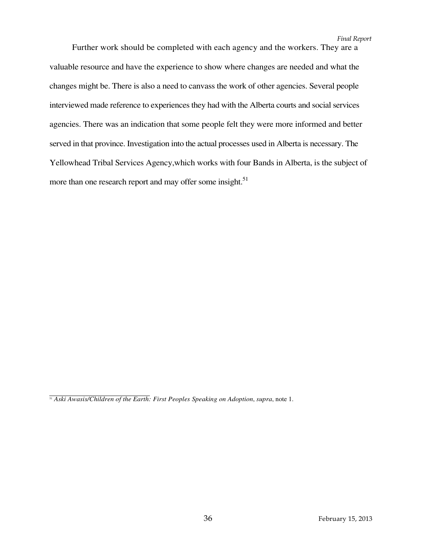Further work should be completed with each agency and the workers. They are a valuable resource and have the experience to show where changes are needed and what the changes might be. There is also a need to canvass the work of other agencies. Several people interviewed made reference to experiences they had with the Alberta courts and social services agencies. There was an indication that some people felt they were more informed and better served in that province. Investigation into the actual processes used in Alberta is necessary. The Yellowhead Tribal Services Agency,which works with four Bands in Alberta, is the subject of more than one research report and may offer some insight.<sup>51</sup>

<sup>51</sup> *Aski Awasis/Children of the Earth: First Peoples Speaking on Adoption*, *supra*, note 1.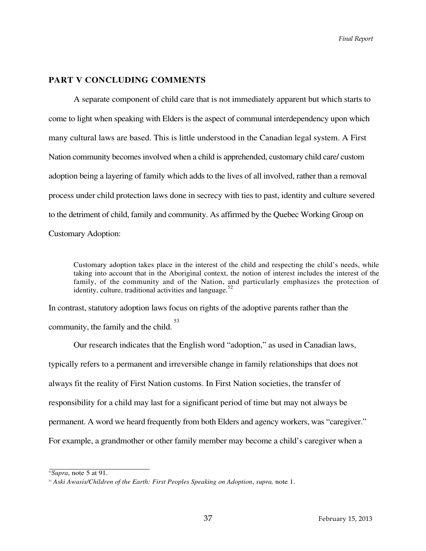# **PART V CONCLUDING COMMENTS**

A separate component of child care that is not immediately apparent but which starts to come to light when speaking with Elders is the aspect of communal interdependency upon which many cultural laws are based. This is little understood in the Canadian legal system. A First Nation community becomes involved when a child is apprehended, customary child care/ custom adoption being a layering of family which adds to the lives of all involved, rather than a removal process under child protection laws done in secrecy with ties to past, identity and culture severed to the detriment of child, family and community. As affirmed by the Quebec Working Group on Customary Adoption:

Customary adoption takes place in the interest of the child and respecting the child's needs, while taking into account that in the Aboriginal context, the notion of interest includes the interest of the family, of the community and of the Nation, and particularly emphasizes the protection of identity, culture, traditional activities and language.<sup>52</sup>

In contrast, statutory adoption laws focus on rights of the adoptive parents rather than the community, the family and the child.<sup>53</sup>

Our research indicates that the English word "adoption," as used in Canadian laws, typically refers to a permanent and irreversible change in family relationships that does not always fit the reality of First Nation customs. In First Nation societies, the transfer of responsibility for a child may last for a significant period of time but may not always be permanent. A word we heard frequently from both Elders and agency workers, was "caregiver." For example, a grandmother or other family member may become a child's caregiver when a

 $\sqrt[52]{\text{Supra}}$ , note 5 at 91.

<sup>53</sup> *Aski Awasis/Children of the Earth: First Peoples Speaking on Adoption*, *supra,* note 1.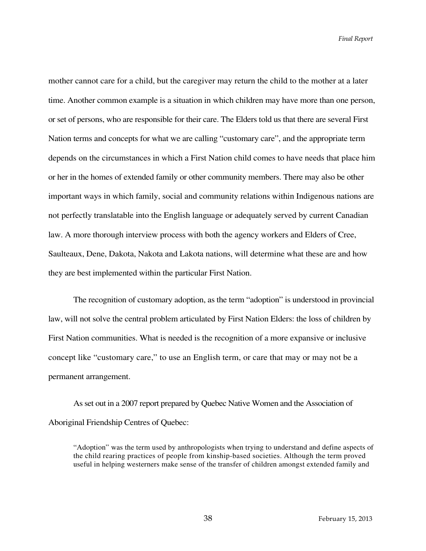mother cannot care for a child, but the caregiver may return the child to the mother at a later time. Another common example is a situation in which children may have more than one person, or set of persons, who are responsible for their care. The Elders told us that there are several First Nation terms and concepts for what we are calling "customary care", and the appropriate term depends on the circumstances in which a First Nation child comes to have needs that place him or her in the homes of extended family or other community members. There may also be other important ways in which family, social and community relations within Indigenous nations are not perfectly translatable into the English language or adequately served by current Canadian law. A more thorough interview process with both the agency workers and Elders of Cree, Saulteaux, Dene, Dakota, Nakota and Lakota nations, will determine what these are and how they are best implemented within the particular First Nation.

The recognition of customary adoption, as the term "adoption" is understood in provincial law, will not solve the central problem articulated by First Nation Elders: the loss of children by First Nation communities. What is needed is the recognition of a more expansive or inclusive concept like "customary care," to use an English term, or care that may or may not be a permanent arrangement.

As set out in a 2007 report prepared by Quebec Native Women and the Association of Aboriginal Friendship Centres of Quebec:

<sup>&</sup>quot;Adoption" was the term used by anthropologists when trying to understand and define aspects of the child rearing practices of people from kinship-based societies. Although the term proved useful in helping westerners make sense of the transfer of children amongst extended family and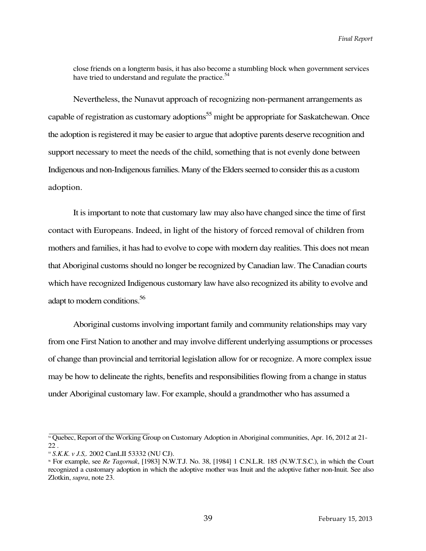close friends on a longterm basis, it has also become a stumbling block when government services have tried to understand and regulate the practice.<sup>54</sup>

Nevertheless, the Nunavut approach of recognizing non-permanent arrangements as capable of registration as customary adoptions<sup>55</sup> might be appropriate for Saskatchewan. Once the adoption is registered it may be easier to argue that adoptive parents deserve recognition and support necessary to meet the needs of the child, something that is not evenly done between Indigenous and non-Indigenous families. Many of the Elders seemed to consider this as a custom adoption.

It is important to note that customary law may also have changed since the time of first contact with Europeans. Indeed, in light of the history of forced removal of children from mothers and families, it has had to evolve to cope with modern day realities. This does not mean that Aboriginal customs should no longer be recognized by Canadian law. The Canadian courts which have recognized Indigenous customary law have also recognized its ability to evolve and adapt to modern conditions.<sup>56</sup>

Aboriginal customs involving important family and community relationships may vary from one First Nation to another and may involve different underlying assumptions or processes of change than provincial and territorial legislation allow for or recognize. A more complex issue may be how to delineate the rights, benefits and responsibilities flowing from a change in status under Aboriginal customary law. For example, should a grandmother who has assumed a

<sup>&</sup>lt;sup>54</sup> Quebec, Report of the Working Group on Customary Adoption in Aboriginal communities, Apr. 16, 2012 at 21-22 .

<sup>55</sup> *S.K.K. v J.S,.* 2002 CanLII 53332 (NU CJ).

<sup>56</sup> For example, see *Re Tagornak*, [1983] N.W.T.J. No. 38, [1984] 1 C.N.L.R. 185 (N.W.T.S.C.), in which the Court recognized a customary adoption in which the adoptive mother was Inuit and the adoptive father non-Inuit. See also Zlotkin, *supra*, note 23.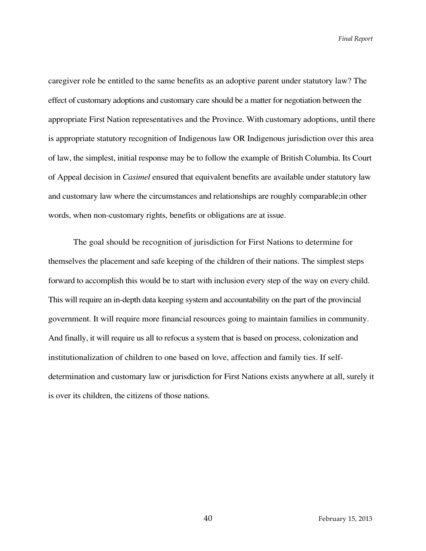caregiver role be entitled to the same benefits as an adoptive parent under statutory law? The effect of customary adoptions and customary care should be a matter for negotiation between the appropriate First Nation representatives and the Province. With customary adoptions, until there is appropriate statutory recognition of Indigenous law OR Indigenous jurisdiction over this area of law, the simplest, initial response may be to follow the example of British Columbia. Its Court of Appeal decision in *Casimel* ensured that equivalent benefits are available under statutory law and customary law where the circumstances and relationships are roughly comparable;in other words, when non-customary rights, benefits or obligations are at issue.

The goal should be recognition of jurisdiction for First Nations to determine for themselves the placement and safe keeping of the children of their nations. The simplest steps forward to accomplish this would be to start with inclusion every step of the way on every child. This will require an in-depth data keeping system and accountability on the part of the provincial government. It will require more financial resources going to maintain families in community. And finally, it will require us all to refocus a system that is based on process, colonization and institutionalization of children to one based on love, affection and family ties. If selfdetermination and customary law or jurisdiction for First Nations exists anywhere at all, surely it is over its children, the citizens of those nations.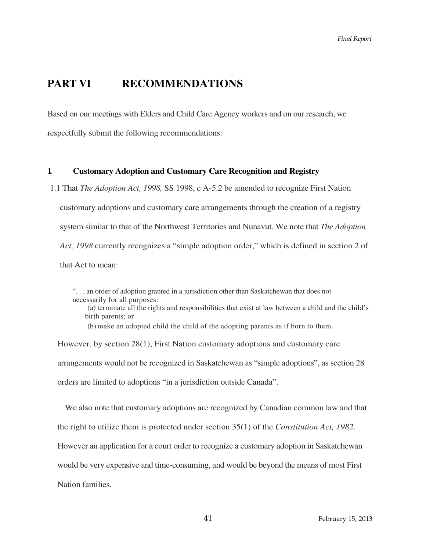# **PART VI RECOMMENDATIONS**

Based on our meetings with Elders and Child Care Agency workers and on our research, we respectfully submit the following recommendations:

#### **1. Customary Adoption and Customary Care Recognition and Registry**

1.1 That *The Adoption Act, 1998,* SS 1998, c A-5.2 be amended to recognize First Nation customary adoptions and customary care arrangements through the creation of a registry system similar to that of the Northwest Territories and Nunavut. We note that *The Adoption Act, 1998* currently recognizes a "simple adoption order," which is defined in section 2 of that Act to mean:

". . . an order of adoption granted in a jurisdiction other than Saskatchewan that does not necessarily for all purposes:

(a) terminate all the rights and responsibilities that exist at law between a child and the child's birth parents; or

(b) make an adopted child the child of the adopting parents as if born to them.

However, by section 28(1), First Nation customary adoptions and customary care arrangements would not be recognized in Saskatchewan as "simple adoptions", as section 28 orders are limited to adoptions "in a jurisdiction outside Canada".

We also note that customary adoptions are recognized by Canadian common law and that the right to utilize them is protected under section 35(1) of the *Constitution Act, 1982*. However an application for a court order to recognize a customary adoption in Saskatchewan

would be very expensive and time-consuming, and would be beyond the means of most First

Nation families.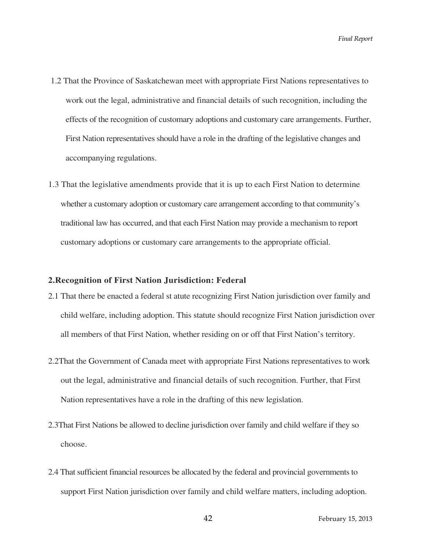- 1.2 That the Province of Saskatchewan meet with appropriate First Nations representatives to work out the legal, administrative and financial details of such recognition, including the effects of the recognition of customary adoptions and customary care arrangements. Further, First Nation representatives should have a role in the drafting of the legislative changes and accompanying regulations.
- 1.3 That the legislative amendments provide that it is up to each First Nation to determine whether a customary adoption or customary care arrangement according to that community's traditional law has occurred, and that each First Nation may provide a mechanism to report customary adoptions or customary care arrangements to the appropriate official.

#### **2.Recognition of First Nation Jurisdiction: Federal**

- 2.1 That there be enacted a federal st atute recognizing First Nation jurisdiction over family and child welfare, including adoption. This statute should recognize First Nation jurisdiction over all members of that First Nation, whether residing on or off that First Nation's territory.
- 2.2That the Government of Canada meet with appropriate First Nations representatives to work out the legal, administrative and financial details of such recognition. Further, that First Nation representatives have a role in the drafting of this new legislation.
- 2.3That First Nations be allowed to decline jurisdiction over family and child welfare if they so choose.
- 2.4 That sufficient financial resources be allocated by the federal and provincial governments to support First Nation jurisdiction over family and child welfare matters, including adoption.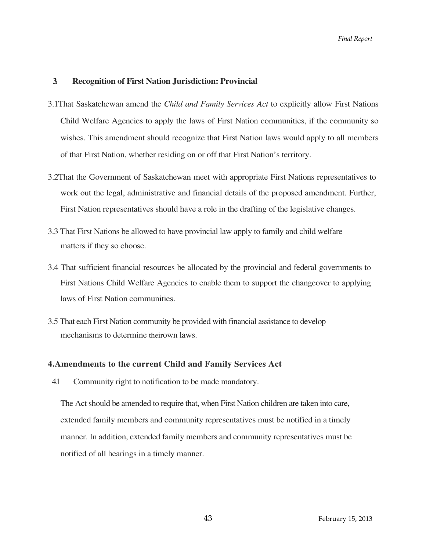### **3. Recognition of First Nation Jurisdiction: Provincial**

- 3.1That Saskatchewan amend the *Child and Family Services Act* to explicitly allow First Nations Child Welfare Agencies to apply the laws of First Nation communities, if the community so wishes. This amendment should recognize that First Nation laws would apply to all members of that First Nation, whether residing on or off that First Nation's territory.
- 3.2That the Government of Saskatchewan meet with appropriate First Nations representatives to work out the legal, administrative and financial details of the proposed amendment. Further, First Nation representatives should have a role in the drafting of the legislative changes.
- 3.3 That First Nations be allowed to have provincial law apply to family and child welfare matters if they so choose.
- 3.4 That sufficient financial resources be allocated by the provincial and federal governments to First Nations Child Welfare Agencies to enable them to support the changeover to applying laws of First Nation communities.
- 3.5 That each First Nation community be provided with financial assistance to develop mechanisms to determine theirown laws.

#### **4.Amendments to the current Child and Family Services Act**

4.1 Community right to notification to be made mandatory.

The Act should be amended to require that, when First Nation children are taken into care, extended family members and community representatives must be notified in a timely manner. In addition, extended family members and community representatives must be notified of all hearings in a timely manner.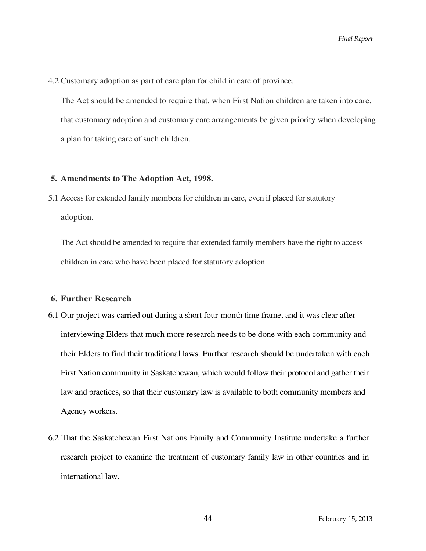4.2 Customary adoption as part of care plan for child in care of province.

The Act should be amended to require that, when First Nation children are taken into care, that customary adoption and customary care arrangements be given priority when developing a plan for taking care of such children.

#### **5. Amendments to The Adoption Act, 1998.**

5.1 Access for extended family members for children in care, even if placed for statutory adoption.

The Act should be amended to require that extended family members have the right to access children in care who have been placed for statutory adoption.

### **6. Further Research**

- 6.1 Our project was carried out during a short four-month time frame, and it was clear after interviewing Elders that much more research needs to be done with each community and their Elders to find their traditional laws. Further research should be undertaken with each First Nation community in Saskatchewan, which would follow their protocol and gather their law and practices, so that their customary law is available to both community members and Agency workers.
- 6.2 That the Saskatchewan First Nations Family and Community Institute undertake a further research project to examine the treatment of customary family law in other countries and in international law.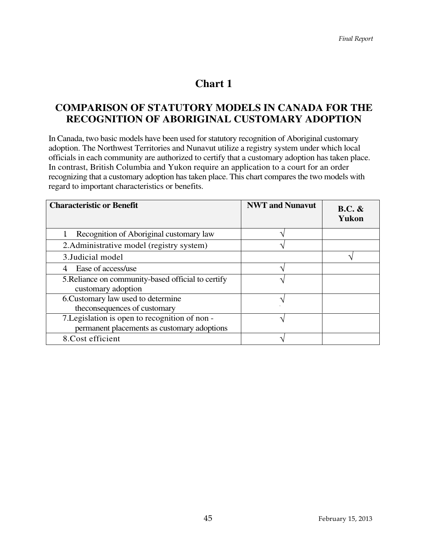# **Chart 1**

# **COMPARISON OF STATUTORY MODELS IN CANADA FOR THE RECOGNITION OF ABORIGINAL CUSTOMARY ADOPTION**

In Canada, two basic models have been used for statutory recognition of Aboriginal customary adoption. The Northwest Territories and Nunavut utilize a registry system under which local officials in each community are authorized to certify that a customary adoption has taken place. In contrast, British Columbia and Yukon require an application to a court for an order recognizing that a customary adoption has taken place. This chart compares the two models with regard to important characteristics or benefits.

| <b>Characteristic or Benefit</b>                                                             | <b>NWT and Nunavut</b> | $B.C.$ &<br>Yukon |
|----------------------------------------------------------------------------------------------|------------------------|-------------------|
| Recognition of Aboriginal customary law                                                      |                        |                   |
| 2. Administrative model (registry system)                                                    |                        |                   |
| 3. Judicial model                                                                            |                        |                   |
| Ease of access/use                                                                           |                        |                   |
| 5. Reliance on community-based official to certify<br>customary adoption                     |                        |                   |
| 6. Customary law used to determine<br>the consequences of customary                          |                        |                   |
| 7. Legislation is open to recognition of non-<br>permanent placements as customary adoptions |                        |                   |
| 8. Cost efficient                                                                            |                        |                   |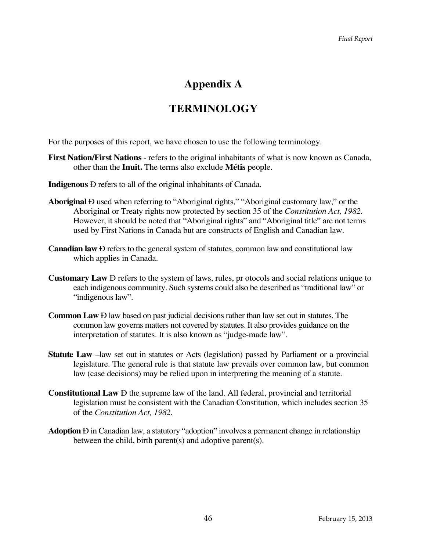# **Appendix A**

# **TERMINOLOGY**

For the purposes of this report, we have chosen to use the following terminology.

- **First Nation/First Nations** refers to the original inhabitants of what is now known as Canada, other than the **Inuit.** The terms also exclude **Métis** people.
- **Indigenous** Ð refers to all of the original inhabitants of Canada.
- **Aboriginal** Ð used when referring to "Aboriginal rights," "Aboriginal customary law," or the Aboriginal or Treaty rights now protected by section 35 of the *Constitution Act, 1982.*  However, it should be noted that "Aboriginal rights" and "Aboriginal title" are not terms used by First Nations in Canada but are constructs of English and Canadian law.
- **Canadian law** Ð refers to the general system of statutes, common law and constitutional law which applies in Canada.
- **Customary Law** Ð refers to the system of laws, rules, pr otocols and social relations unique to each indigenous community. Such systems could also be described as "traditional law" or "indigenous law".
- **Common Law** Ð law based on past judicial decisions rather than law set out in statutes. The common law governs matters not covered by statutes. It also provides guidance on the interpretation of statutes. It is also known as "judge-made law".
- **Statute Law** –law set out in statutes or Acts (legislation) passed by Parliament or a provincial legislature. The general rule is that statute law prevails over common law, but common law (case decisions) may be relied upon in interpreting the meaning of a statute.
- **Constitutional Law** Ð the supreme law of the land. All federal, provincial and territorial legislation must be consistent with the Canadian Constitution, which includes section 35 of the *Constitution Act, 1982.*
- **Adoption** Ð in Canadian law, a statutory "adoption" involves a permanent change in relationship between the child, birth parent(s) and adoptive parent(s).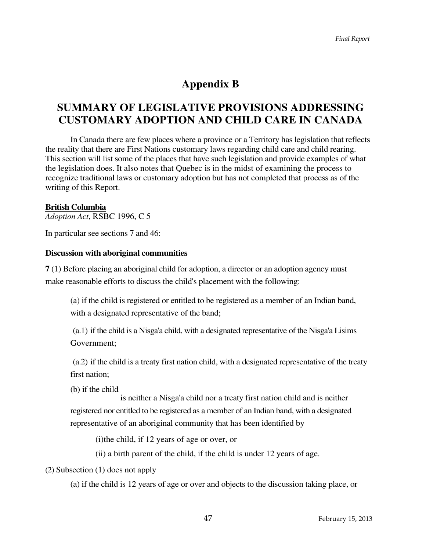# **Appendix B**

# **SUMMARY OF LEGISLATIVE PROVISIONS ADDRESSING CUSTOMARY ADOPTION AND CHILD CARE IN CANADA**

In Canada there are few places where a province or a Territory has legislation that reflects the reality that there are First Nations customary laws regarding child care and child rearing. This section will list some of the places that have such legislation and provide examples of what the legislation does. It also notes that Quebec is in the midst of examining the process to recognize traditional laws or customary adoption but has not completed that process as of the writing of this Report.

#### **British Columbia**

*Adoption Act*, RSBC 1996, C 5

In particular see sections 7 and 46:

#### **Discussion with aboriginal communities**

**7** (1) Before placing an aboriginal child for adoption, a director or an adoption agency must make reasonable efforts to discuss the child's placement with the following:

(a) if the child is registered or entitled to be registered as a member of an Indian band, with a designated representative of the band;

(a.1) if the child is a Nisga'a child, with a designated representative of the Nisga'a Lisims Government;

(a.2) if the child is a treaty first nation child, with a designated representative of the treaty first nation;

(b) if the child

is neither a Nisga'a child nor a treaty first nation child and is neither registered nor entitled to be registered as a member of an Indian band, with a designated representative of an aboriginal community that has been identified by

(i)the child, if 12 years of age or over, or

(ii) a birth parent of the child, if the child is under 12 years of age.

(2) Subsection (1) does not apply

(a) if the child is 12 years of age or over and objects to the discussion taking place, or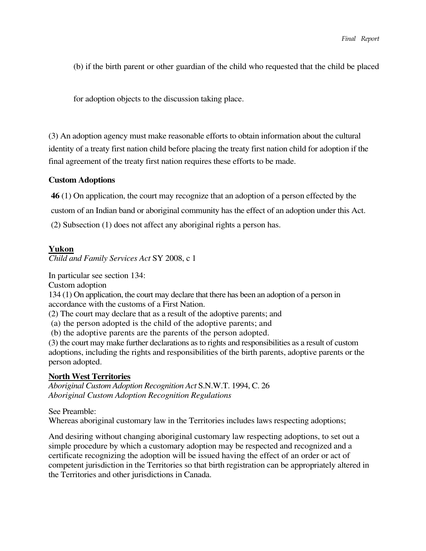(b) if the birth parent or other guardian of the child who requested that the child be placed

for adoption objects to the discussion taking place.

(3) An adoption agency must make reasonable efforts to obtain information about the cultural identity of a treaty first nation child before placing the treaty first nation child for adoption if the final agreement of the treaty first nation requires these efforts to be made.

#### **Custom Adoptions**

**46** (1) On application, the court may recognize that an adoption of a person effected by the

custom of an Indian band or aboriginal community has the effect of an adoption under this Act.

(2) Subsection (1) does not affect any aboriginal rights a person has.

# **Yukon**

*Child and Family Services Act* SY 2008, c 1

In particular see section 134:

Custom adoption

134 (1) On application, the court may declare that there has been an adoption of a person in accordance with the customs of a First Nation.

(2) The court may declare that as a result of the adoptive parents; and

(a) the person adopted is the child of the adoptive parents; and

(b) the adoptive parents are the parents of the person adopted.

(3) the court may make further declarations as to rights and responsibilities as a result of custom adoptions, including the rights and responsibilities of the birth parents, adoptive parents or the person adopted.

# **North West Territories**

*Aboriginal Custom Adoption Recognition Act* S.N.W.T. 1994, C. 26 *Aboriginal Custom Adoption Recognition Regulations* 

See Preamble: Whereas aboriginal customary law in the Territories includes laws respecting adoptions;

And desiring without changing aboriginal customary law respecting adoptions, to set out a simple procedure by which a customary adoption may be respected and recognized and a certificate recognizing the adoption will be issued having the effect of an order or act of competent jurisdiction in the Territories so that birth registration can be appropriately altered in the Territories and other jurisdictions in Canada.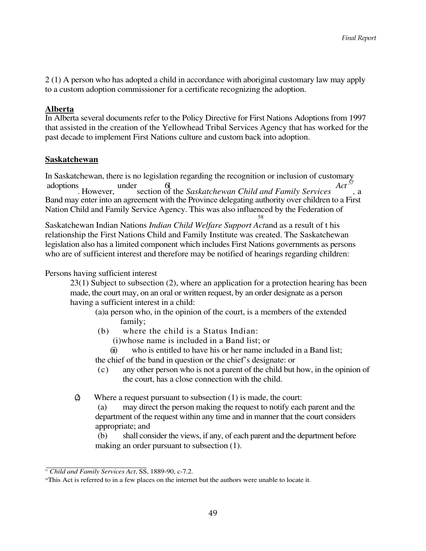2 (1) A person who has adopted a child in accordance with aboriginal customary law may apply to a custom adoption commissioner for a certificate recognizing the adoption.

# **Alberta**

In Alberta several documents refer to the Policy Directive for First Nations Adoptions from 1997 that assisted in the creation of the Yellowhead Tribal Services Agency that has worked for the past decade to implement First Nations culture and custom back into adoption.

# **Saskatchewan**

In Saskatchewan, there is no legislation regarding the recognition or inclusion of customary adoptions under  $\theta_{c1}$  *Act*  $\theta_{c1}$  *Act Act Act*<sup>57</sup> . However, section of the *Saskatchewan Child and Family Services* in , a Band may enter into an agreement with the Province delegating authority over children to a First Nation Child and Family Service Agency. This was also influenced by the Federation of

58 Saskatchewan Indian Nations *Indian Child Welfare Support Act*and as a result of t his relationship the First Nations Child and Family Institute was created. The Saskatchewan legislation also has a limited component which includes First Nations governments as persons who are of sufficient interest and therefore may be notified of hearings regarding children:

# Persons having sufficient interest

23(1) Subject to subsection (2), where an application for a protection hearing has been made, the court may, on an oral or written request, by an order designate as a person having a sufficient interest in a child:

(a)a person who, in the opinion of the court, is a members of the extended family;

- (b) where the child is a Status Indian:
	- (i)whose name is included in a Band list; or

(ii) who is entitled to have his or her name included in a Band list; the chief of the band in question or the chief's designate: or

- (c) any other person who is not a parent of the child but how, in the opinion of the court, has a close connection with the child.
- $\Omega$  Where a request pursuant to subsection (1) is made, the court:

(a) may direct the person making the request to notify each parent and the department of the request within any time and in manner that the court considers appropriate; and

(b) shall consider the views, if any, of each parent and the department before making an order pursuant to subsection (1).

<sup>57</sup> *Child and Family Services Act*, SS, 1889-90, c-7.2.

<sup>58</sup>This Act is referred to in a few places on the internet but the authors were unable to locate it.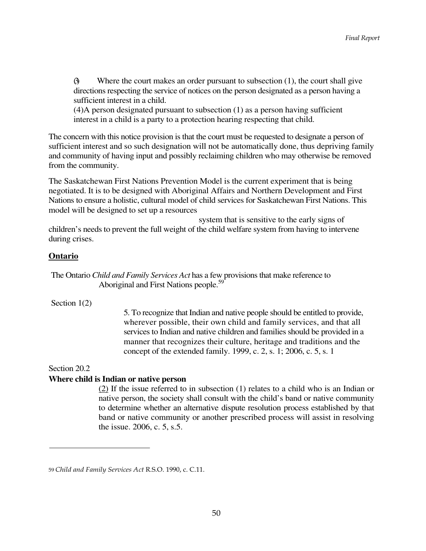(3) Where the court makes an order pursuant to subsection (1), the court shall give directions respecting the service of notices on the person designated as a person having a sufficient interest in a child.

(4)A person designated pursuant to subsection (1) as a person having sufficient interest in a child is a party to a protection hearing respecting that child.

The concern with this notice provision is that the court must be requested to designate a person of sufficient interest and so such designation will not be automatically done, thus depriving family and community of having input and possibly reclaiming children who may otherwise be removed from the community.

The Saskatchewan First Nations Prevention Model is the current experiment that is being negotiated. It is to be designed with Aboriginal Affairs and Northern Development and First Nations to ensure a holistic, cultural model of child services for Saskatchewan First Nations. This model will be designed to set up a resources

system that is sensitive to the early signs of children's needs to prevent the full weight of the child welfare system from having to intervene during crises.

# **Ontario**

The Ontario *Child and Family Services Act* has a few provisions that make reference to Aboriginal and First Nations people.<sup>59</sup>

Section 1(2)

5. To recognize that Indian and native people should be entitled to provide, wherever possible, their own child and family services, and that all services to Indian and native children and families should be provided in a manner that recognizes their culture, heritage and traditions and the concept of the extended family. 1999, c. 2, s. 1; 2006, c. 5, s. 1

Section 20.2

# **Where child is Indian or native person**

(2) If the issue referred to in subsection (1) relates to a child who is an Indian or native person, the society shall consult with the child's band or native community to determine whether an alternative dispute resolution process established by that band or native community or another prescribed process will assist in resolving the issue. 2006, c. 5, s.5.

<sup>59</sup> Child and Family Services Act R.S.O. 1990, c. C.11.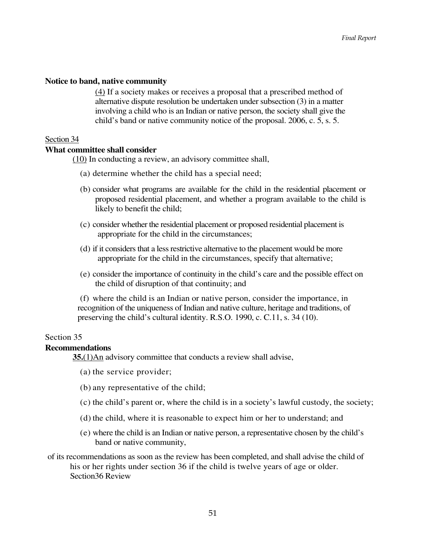#### **Notice to band, native community**

(4) If a society makes or receives a proposal that a prescribed method of alternative dispute resolution be undertaken under subsection (3) in a matter involving a child who is an Indian or native person, the society shall give the child's band or native community notice of the proposal. 2006, c. 5, s. 5.

#### Section 34

# **What committee shall consider**

(10) In conducting a review, an advisory committee shall,

- (a) determine whether the child has a special need;
- (b) consider what programs are available for the child in the residential placement or proposed residential placement, and whether a program available to the child is likely to benefit the child;
- (c) consider whether the residential placement or proposed residential placement is appropriate for the child in the circumstances;
- (d) if it considers that a less restrictive alternative to the placement would be more appropriate for the child in the circumstances, specify that alternative;
- (e) consider the importance of continuity in the child's care and the possible effect on the child of disruption of that continuity; and

(f) where the child is an Indian or native person, consider the importance, in recognition of the uniqueness of Indian and native culture, heritage and traditions, of preserving the child's cultural identity. R.S.O. 1990, c. C.11, s. 34 (10).

#### Section 35

#### **Recommendations**

**35.**(1)An advisory committee that conducts a review shall advise,

- (a) the service provider;
- (b) any representative of the child;
- (c) the child's parent or, where the child is in a society's lawful custody, the society;
- (d) the child, where it is reasonable to expect him or her to understand; and
- (e) where the child is an Indian or native person, a representative chosen by the child's band or native community,

of its recommendations as soon as the review has been completed, and shall advise the child of his or her rights under section 36 if the child is twelve years of age or older. Section36 Review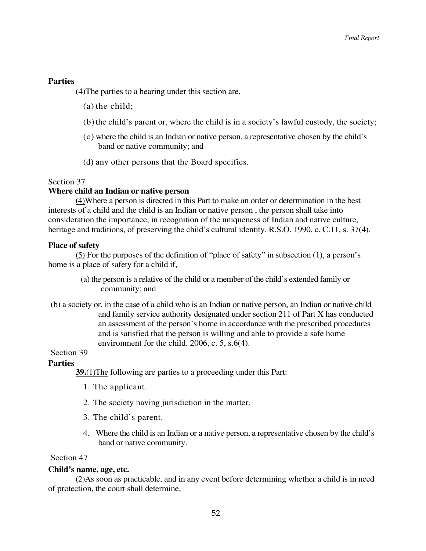# **Parties**

(4)The parties to a hearing under this section are,

- (a) the child;
- (b) the child's parent or, where the child is in a society's lawful custody, the society;
- (c) where the child is an Indian or native person, a representative chosen by the child's band or native community; and
- (d) any other persons that the Board specifies.

# Section 37

# **Where child an Indian or native person**

(4)Where a person is directed in this Part to make an order or determination in the best interests of a child and the child is an Indian or native person , the person shall take into consideration the importance, in recognition of the uniqueness of Indian and native culture, heritage and traditions, of preserving the child's cultural identity. R.S.O. 1990, c. C.11, s. 37(4).

# **Place of safety**

(5) For the purposes of the definition of "place of safety" in subsection (1), a person's home is a place of safety for a child if,

- (a) the person is a relative of the child or a member of the child's extended family or community; and
- (b) a society or, in the case of a child who is an Indian or native person, an Indian or native child and family service authority designated under section 211 of Part X has conducted an assessment of the person's home in accordance with the prescribed procedures and is satisfied that the person is willing and able to provide a safe home environment for the child. 2006, c. 5, s.6(4).

# Section 39

# **Parties**

**39.**(1)The following are parties to a proceeding under this Part:

- 1. The applicant.
- 2. The society having jurisdiction in the matter.
- 3. The child's parent.
- 4. Where the child is an Indian or a native person, a representative chosen by the child's band or native community.

# Section 47

# **Child's name, age, etc.**

(2)As soon as practicable, and in any event before determining whether a child is in need of protection, the court shall determine,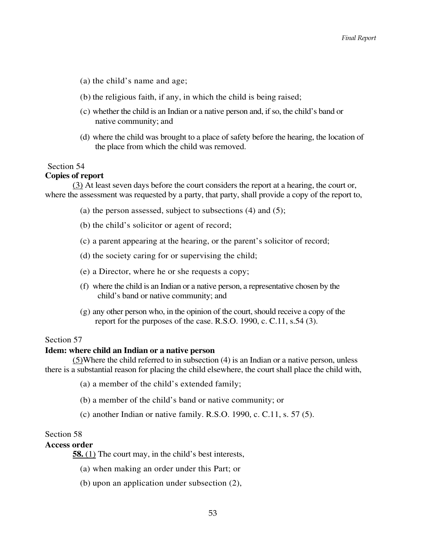- (a) the child's name and age;
- (b) the religious faith, if any, in which the child is being raised;
- (c) whether the child is an Indian or a native person and, if so, the child's band or native community; and
- (d) where the child was brought to a place of safety before the hearing, the location of the place from which the child was removed.

# Section 54

# **Copies of report**

(3) At least seven days before the court considers the report at a hearing, the court or, where the assessment was requested by a party, that party, shall provide a copy of the report to,

- (a) the person assessed, subject to subsections  $(4)$  and  $(5)$ ;
- (b) the child's solicitor or agent of record;
- (c) a parent appearing at the hearing, or the parent's solicitor of record;
- (d) the society caring for or supervising the child;
- (e) a Director, where he or she requests a copy;
- (f) where the child is an Indian or a native person, a representative chosen by the child's band or native community; and
- (g) any other person who, in the opinion of the court, should receive a copy of the report for the purposes of the case. R.S.O. 1990, c. C.11, s.54 (3).

#### Section 57

#### **Idem: where child an Indian or a native person**

(5)Where the child referred to in subsection (4) is an Indian or a native person, unless there is a substantial reason for placing the child elsewhere, the court shall place the child with,

(a) a member of the child's extended family;

(b) a member of the child's band or native community; or

(c) another Indian or native family. R.S.O. 1990, c. C.11, s. 57 (5).

#### Section 58

#### **Access order**

**58.** (1) The court may, in the child's best interests,

(a) when making an order under this Part; or

(b) upon an application under subsection (2),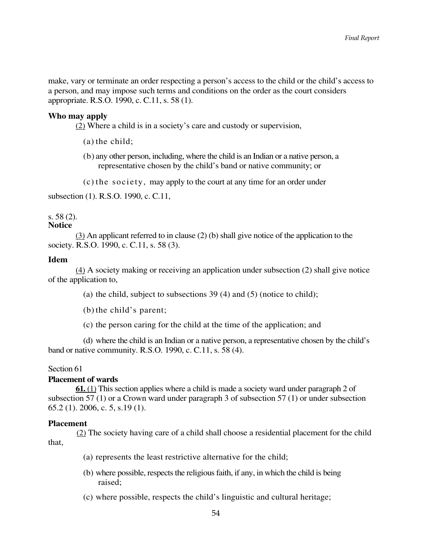make, vary or terminate an order respecting a person's access to the child or the child's access to a person, and may impose such terms and conditions on the order as the court considers appropriate. R.S.O. 1990, c. C.11, s. 58 (1).

#### **Who may apply**

(2) Where a child is in a society's care and custody or supervision,

(a) the child;

- (b) any other person, including, where the child is an Indian or a native person, a representative chosen by the child's band or native community; or
- (c) the society, may apply to the court at any time for an order under

subsection (1). R.S.O. 1990, c. C.11,

# s. 58 (2).

#### **Notice**

(3) An applicant referred to in clause (2) (b) shall give notice of the application to the society. R.S.O. 1990, c. C.11, s. 58 (3).

#### **Idem**

(4) A society making or receiving an application under subsection (2) shall give notice of the application to,

(a) the child, subject to subsections 39 (4) and (5) (notice to child);

(b) the child's parent;

(c) the person caring for the child at the time of the application; and

(d) where the child is an Indian or a native person, a representative chosen by the child's band or native community. R.S.O. 1990, c. C.11, s. 58 (4).

#### Section 61

#### **Placement of wards**

**61.** (1) This section applies where a child is made a society ward under paragraph 2 of subsection 57 (1) or a Crown ward under paragraph 3 of subsection 57 (1) or under subsection 65.2 (1). 2006, c. 5, s.19 (1).

#### **Placement**

(2) The society having care of a child shall choose a residential placement for the child that,

- (a) represents the least restrictive alternative for the child;
- (b) where possible, respects the religious faith, if any, in which the child is being raised;
- (c) where possible, respects the child's linguistic and cultural heritage;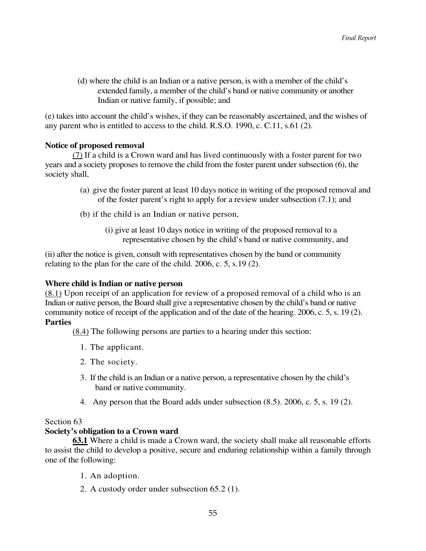(d) where the child is an Indian or a native person, is with a member of the child's extended family, a member of the child's band or native community or another Indian or native family, if possible; and

(e) takes into account the child's wishes, if they can be reasonably ascertained, and the wishes of any parent who is entitled to access to the child. R.S.O. 1990, c. C.11, s.61 (2).

#### **Notice of proposed removal**

(7) If a child is a Crown ward and has lived continuously with a foster parent for two years and a society proposes to remove the child from the foster parent under subsection (6), the society shall,

- (a) give the foster parent at least 10 days notice in writing of the proposed removal and of the foster parent's right to apply for a review under subsection (7.1); and
- (b) if the child is an Indian or native person,
	- (i) give at least 10 days notice in writing of the proposed removal to a representative chosen by the child's band or native community, and

(ii) after the notice is given, consult with representatives chosen by the band or community relating to the plan for the care of the child. 2006, c. 5, s.19 (2).

# **Where child is Indian or native person**

 $(8.1)$  Upon receipt of an application for review of a proposed removal of a child who is an Indian or native person, the Board shall give a representative chosen by the child's band or native community notice of receipt of the application and of the date of the hearing. 2006, c. 5, s. 19 (2). **Parties** 

(8.4) The following persons are parties to a hearing under this section:

- 1. The applicant.
- 2. The society.
- 3. If the child is an Indian or a native person, a representative chosen by the child's band or native community.
- 4. Any person that the Board adds under subsection (8.5). 2006, c. 5, s. 19 (2).

### Section 63

#### **Society's obligation to a Crown ward**

**63.1** Where a child is made a Crown ward, the society shall make all reasonable efforts to assist the child to develop a positive, secure and enduring relationship within a family through one of the following:

- 1. An adoption.
- 2. A custody order under subsection 65.2 (1).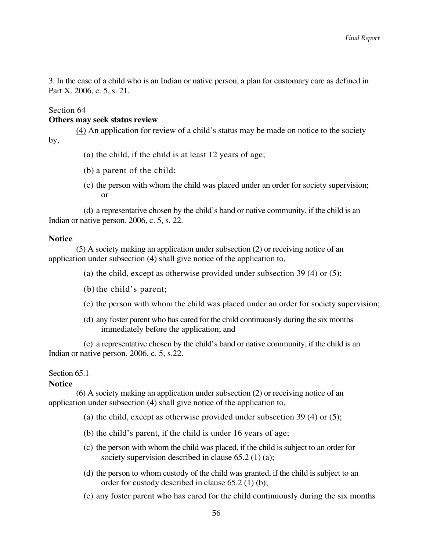3. In the case of a child who is an Indian or native person, a plan for customary care as defined in Part X. 2006, c. 5, s. 21.

#### Section 64 **Others may seek status review**

(4) An application for review of a child's status may be made on notice to the society by,

- (a) the child, if the child is at least 12 years of age;
- (b) a parent of the child;
- (c) the person with whom the child was placed under an order for society supervision; or

(d) a representative chosen by the child's band or native community, if the child is an Indian or native person. 2006, c. 5, s. 22.

#### **Notice**

(5) A society making an application under subsection (2) or receiving notice of an application under subsection (4) shall give notice of the application to,

- (a) the child, except as otherwise provided under subsection 39 (4) or (5);
- (b) the child's parent;
- (c) the person with whom the child was placed under an order for society supervision;
- (d) any foster parent who has cared for the child continuously during the six months immediately before the application; and

(e) a representative chosen by the child's band or native community, if the child is an Indian or native person. 2006, c. 5, s.22.

#### Section 65.1

#### **Notice**

(6) A society making an application under subsection (2) or receiving notice of an application under subsection (4) shall give notice of the application to,

- (a) the child, except as otherwise provided under subsection 39 (4) or (5);
- (b) the child's parent, if the child is under 16 years of age;
- (c) the person with whom the child was placed, if the child is subject to an order for society supervision described in clause 65.2 (1) (a);
- (d) the person to whom custody of the child was granted, if the child is subject to an order for custody described in clause 65.2 (1) (b);
- (e) any foster parent who has cared for the child continuously during the six months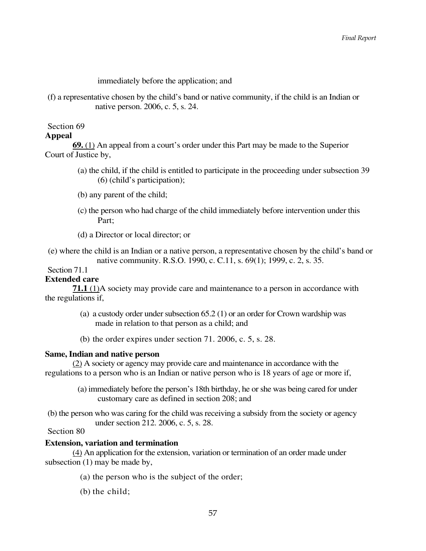immediately before the application; and

(f) a representative chosen by the child's band or native community, if the child is an Indian or native person. 2006, c. 5, s. 24.

# Section 69

#### **Appeal**

**69.** (1) An appeal from a court's order under this Part may be made to the Superior Court of Justice by,

- (a) the child, if the child is entitled to participate in the proceeding under subsection 39 (6) (child's participation);
- (b) any parent of the child;
- (c) the person who had charge of the child immediately before intervention under this Part;
- (d) a Director or local director; or
- (e) where the child is an Indian or a native person, a representative chosen by the child's band or native community. R.S.O. 1990, c. C.11, s. 69(1); 1999, c. 2, s. 35.

# Section 71.1

# **Extended care**

**71.1** (1)A society may provide care and maintenance to a person in accordance with the regulations if,

- (a) a custody order under subsection 65.2 (1) or an order for Crown wardship was made in relation to that person as a child; and
- (b) the order expires under section 71. 2006, c. 5, s. 28.

#### **Same, Indian and native person**

(2) A society or agency may provide care and maintenance in accordance with the regulations to a person who is an Indian or native person who is 18 years of age or more if,

> (a) immediately before the person's 18th birthday, he or she was being cared for under customary care as defined in section 208; and

(b) the person who was caring for the child was receiving a subsidy from the society or agency under section 212. 2006, c. 5, s. 28.

#### Section 80

#### **Extension, variation and termination**

(4) An application for the extension, variation or termination of an order made under subsection (1) may be made by,

- (a) the person who is the subject of the order;
- (b) the child;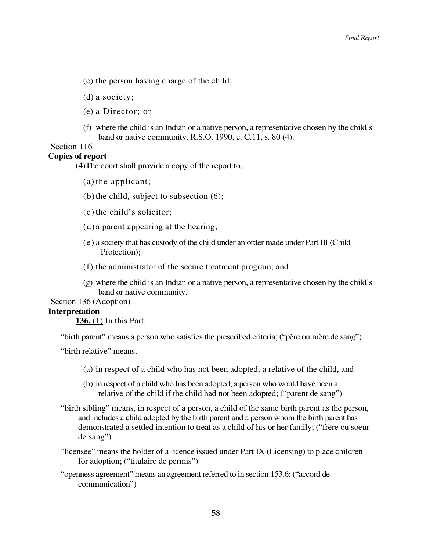- (c) the person having charge of the child;
- (d) a society;
- (e) a Director; or
- (f) where the child is an Indian or a native person, a representative chosen by the child's band or native community. R.S.O. 1990, c. C.11, s. 80 (4).

# Section 116

**Copies of report** 

(4)The court shall provide a copy of the report to,

- (a) the applicant;
- $(b)$  the child, subject to subsection  $(6)$ ;
- (c) the child's solicitor;
- (d) a parent appearing at the hearing;
- (e) a society that has custody of the child under an order made under Part III (Child Protection);
- (f) the administrator of the secure treatment program; and
- (g) where the child is an Indian or a native person, a representative chosen by the child's band or native community.

Section 136 (Adoption)

#### **Interpretation**

**136.** (1) In this Part,

"birth parent" means a person who satisfies the prescribed criteria; ("père ou mère de sang")

"birth relative" means,

- (a) in respect of a child who has not been adopted, a relative of the child, and
- (b) in respect of a child who has been adopted, a person who would have been a relative of the child if the child had not been adopted; ("parent de sang")
- "birth sibling" means, in respect of a person, a child of the same birth parent as the person, and includes a child adopted by the birth parent and a person whom the birth parent has demonstrated a settled intention to treat as a child of his or her family; ("frère ou soeur de sang")
- "licensee" means the holder of a licence issued under Part IX (Licensing) to place children for adoption; ("titulaire de permis")
- "openness agreement" means an agreement referred to in section 153.6; ("accord de communication")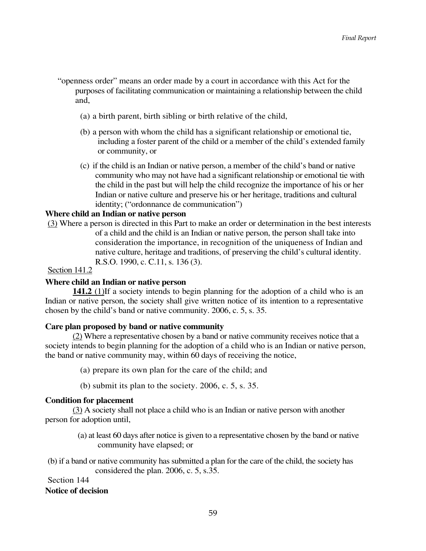- "openness order" means an order made by a court in accordance with this Act for the purposes of facilitating communication or maintaining a relationship between the child and,
	- (a) a birth parent, birth sibling or birth relative of the child,
	- (b) a person with whom the child has a significant relationship or emotional tie, including a foster parent of the child or a member of the child's extended family or community, or
	- (c) if the child is an Indian or native person, a member of the child's band or native community who may not have had a significant relationship or emotional tie with the child in the past but will help the child recognize the importance of his or her Indian or native culture and preserve his or her heritage, traditions and cultural identity; ("ordonnance de communication")

#### **Where child an Indian or native person**

(3) Where a person is directed in this Part to make an order or determination in the best interests of a child and the child is an Indian or native person, the person shall take into consideration the importance, in recognition of the uniqueness of Indian and native culture, heritage and traditions, of preserving the child's cultural identity. R.S.O. 1990, c. C.11, s. 136 (3).

#### Section 141.2

#### **Where child an Indian or native person**

**141.2** (1)If a society intends to begin planning for the adoption of a child who is an Indian or native person, the society shall give written notice of its intention to a representative chosen by the child's band or native community. 2006, c. 5, s. 35.

#### **Care plan proposed by band or native community**

(2) Where a representative chosen by a band or native community receives notice that a society intends to begin planning for the adoption of a child who is an Indian or native person, the band or native community may, within 60 days of receiving the notice,

- (a) prepare its own plan for the care of the child; and
- (b) submit its plan to the society. 2006, c. 5, s. 35.

#### **Condition for placement**

(3) A society shall not place a child who is an Indian or native person with another person for adoption until,

> (a) at least 60 days after notice is given to a representative chosen by the band or native community have elapsed; or

(b) if a band or native community has submitted a plan for the care of the child, the society has considered the plan. 2006, c. 5, s.35.

Section 144

#### **Notice of decision**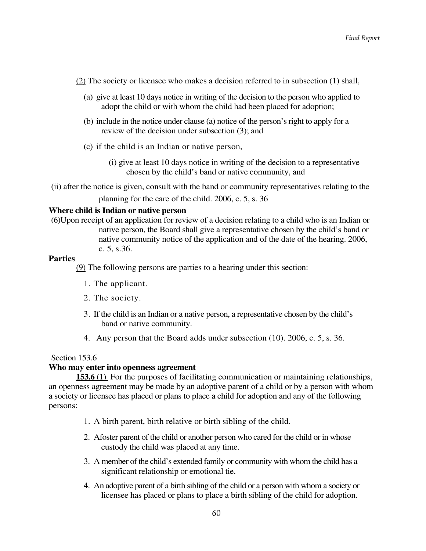(2) The society or licensee who makes a decision referred to in subsection (1) shall,

- (a) give at least 10 days notice in writing of the decision to the person who applied to adopt the child or with whom the child had been placed for adoption;
- (b) include in the notice under clause (a) notice of the person's right to apply for a review of the decision under subsection (3); and
- (c) if the child is an Indian or native person,
	- (i) give at least 10 days notice in writing of the decision to a representative chosen by the child's band or native community, and
- (ii) after the notice is given, consult with the band or community representatives relating to the

planning for the care of the child. 2006, c. 5, s. 36.

#### **Where child is Indian or native person**

(6)Upon receipt of an application for review of a decision relating to a child who is an Indian or native person, the Board shall give a representative chosen by the child's band or native community notice of the application and of the date of the hearing. 2006, c. 5, s.36.

#### **Parties**

(9) The following persons are parties to a hearing under this section:

- 1. The applicant.
- 2. The society.
- 3. If the child is an Indian or a native person, a representative chosen by the child's band or native community.
- 4. Any person that the Board adds under subsection (10). 2006, c. 5, s. 36.

# Section 153.6

# **Who may enter into openness agreement**

**153.6** (1) For the purposes of facilitating communication or maintaining relationships, an openness agreement may be made by an adoptive parent of a child or by a person with whom a society or licensee has placed or plans to place a child for adoption and any of the following persons:

- 1. A birth parent, birth relative or birth sibling of the child.
- 2. Afoster parent of the child or another person who cared for the child or in whose custody the child was placed at any time.
- 3. A member of the child's extended family or community with whom the child has a significant relationship or emotional tie.
- 4. An adoptive parent of a birth sibling of the child or a person with whom a society or licensee has placed or plans to place a birth sibling of the child for adoption.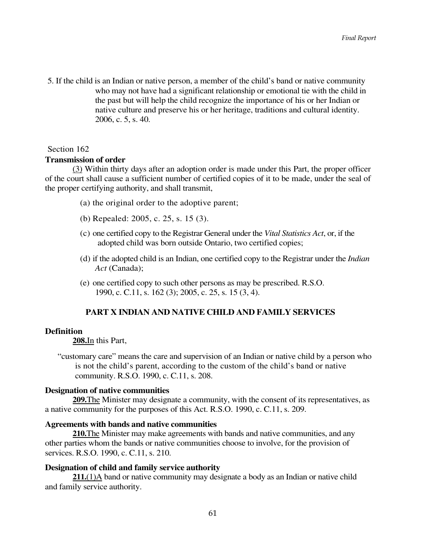5. If the child is an Indian or native person, a member of the child's band or native community who may not have had a significant relationship or emotional tie with the child in the past but will help the child recognize the importance of his or her Indian or native culture and preserve his or her heritage, traditions and cultural identity. 2006, c. 5, s. 40.

#### Section 162

#### **Transmission of order**

(3) Within thirty days after an adoption order is made under this Part, the proper officer of the court shall cause a sufficient number of certified copies of it to be made, under the seal of the proper certifying authority, and shall transmit,

- (a) the original order to the adoptive parent;
- (b) Repealed: 2005, c. 25, s. 15 (3).
- (c) one certified copy to the Registrar General under the *Vital Statistics Act*, or, if the adopted child was born outside Ontario, two certified copies;
- (d) if the adopted child is an Indian, one certified copy to the Registrar under the *Indian Act* (Canada);
- (e) one certified copy to such other persons as may be prescribed. R.S.O. 1990, c. C.11, s. 162 (3); 2005, c. 25, s. 15 (3, 4).

# **PART X INDIAN AND NATIVE CHILD AND FAMILY SERVICES**

# **Definition**

**208.**In this Part,

"customary care" means the care and supervision of an Indian or native child by a person who is not the child's parent, according to the custom of the child's band or native community. R.S.O. 1990, c. C.11, s. 208.

#### **Designation of native communities**

**209.**The Minister may designate a community, with the consent of its representatives, as a native community for the purposes of this Act. R.S.O. 1990, c. C.11, s. 209.

#### **Agreements with bands and native communities**

**210.**The Minister may make agreements with bands and native communities, and any other parties whom the bands or native communities choose to involve, for the provision of services. R.S.O. 1990, c. C.11, s. 210.

# **Designation of child and family service authority**

**211.**(1)A band or native community may designate a body as an Indian or native child and family service authority.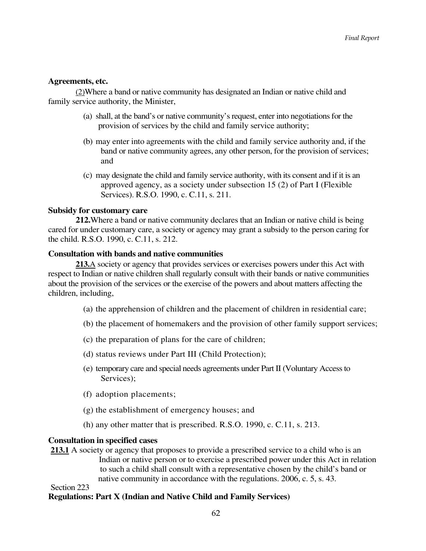#### **Agreements, etc.**

(2)Where a band or native community has designated an Indian or native child and family service authority, the Minister,

- (a) shall, at the band's or native community's request, enter into negotiations for the provision of services by the child and family service authority;
- (b) may enter into agreements with the child and family service authority and, if the band or native community agrees, any other person, for the provision of services; and
- (c) may designate the child and family service authority, with its consent and if it is an approved agency, as a society under subsection 15 (2) of Part I (Flexible Services). R.S.O. 1990, c. C.11, s. 211.

#### **Subsidy for customary care**

**212.**Where a band or native community declares that an Indian or native child is being cared for under customary care, a society or agency may grant a subsidy to the person caring for the child. R.S.O. 1990, c. C.11, s. 212.

#### **Consultation with bands and native communities**

**213.**A society or agency that provides services or exercises powers under this Act with respect to Indian or native children shall regularly consult with their bands or native communities about the provision of the services or the exercise of the powers and about matters affecting the children, including,

- (a) the apprehension of children and the placement of children in residential care;
- (b) the placement of homemakers and the provision of other family support services;
- (c) the preparation of plans for the care of children;
- (d) status reviews under Part III (Child Protection);
- (e) temporary care and special needs agreements under Part II (Voluntary Access to Services);
- (f) adoption placements;
- (g) the establishment of emergency houses; and
- (h) any other matter that is prescribed. R.S.O. 1990, c. C.11, s. 213.

#### **Consultation in specified cases**

**213.1** A society or agency that proposes to provide a prescribed service to a child who is an Indian or native person or to exercise a prescribed power under this Act in relation to such a child shall consult with a representative chosen by the child's band or native community in accordance with the regulations. 2006, c. 5, s. 43.

Section 223

#### **Regulations: Part X (Indian and Native Child and Family Services)**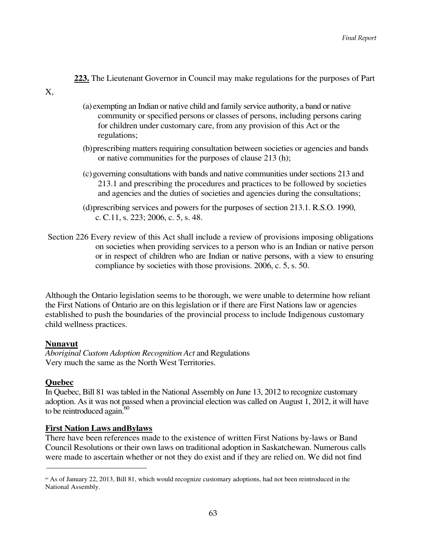**223.** The Lieutenant Governor in Council may make regulations for the purposes of Part

# X,

- (a)exempting an Indian or native child and family service authority, a band or native community or specified persons or classes of persons, including persons caring for children under customary care, from any provision of this Act or the regulations;
- (b)prescribing matters requiring consultation between societies or agencies and bands or native communities for the purposes of clause 213 (h);
- (c)governing consultations with bands and native communities under sections 213 and 213.1 and prescribing the procedures and practices to be followed by societies and agencies and the duties of societies and agencies during the consultations;
- (d)prescribing services and powers for the purposes of section 213.1. R.S.O. 1990, c. C.11, s. 223; 2006, c. 5, s. 48.
- Section 226 Every review of this Act shall include a review of provisions imposing obligations on societies when providing services to a person who is an Indian or native person or in respect of children who are Indian or native persons, with a view to ensuring compliance by societies with those provisions. 2006, c. 5, s. 50.

Although the Ontario legislation seems to be thorough, we were unable to determine how reliant the First Nations of Ontario are on this legislation or if there are First Nations law or agencies established to push the boundaries of the provincial process to include Indigenous customary child wellness practices.

# **Nunavut**

*Aboriginal Custom Adoption Recognition Act* and Regulations Very much the same as the North West Territories.

# **Quebec**

In Quebec, Bill 81 was tabled in the National Assembly on June 13, 2012 to recognize customary adoption. As it was not passed when a provincial election was called on August 1, 2012, it will have to be reintroduced again. $60$ 

# **First Nation Laws andBylaws**

There have been references made to the existence of written First Nations by-laws or Band Council Resolutions or their own laws on traditional adoption in Saskatchewan. Numerous calls were made to ascertain whether or not they do exist and if they are relied on. We did not find

 $\degree$  As of January 22, 2013, Bill 81, which would recognize customary adoptions, had not been reintroduced in the National Assembly.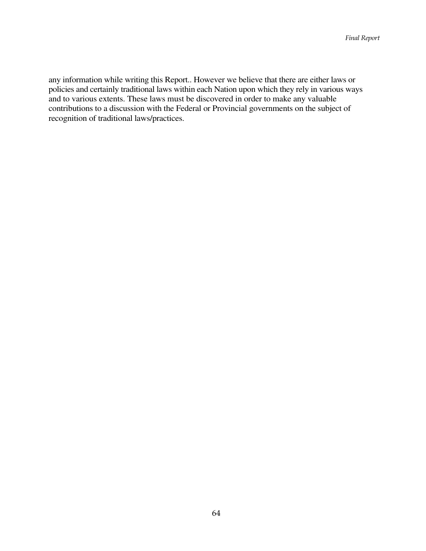any information while writing this Report.. However we believe that there are either laws or policies and certainly traditional laws within each Nation upon which they rely in various ways and to various extents. These laws must be discovered in order to make any valuable contributions to a discussion with the Federal or Provincial governments on the subject of recognition of traditional laws/practices.